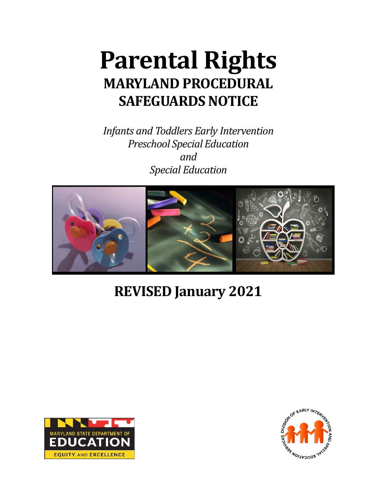# **Parental Rights MARYLAND PROCEDURAL SAFEGUARDS NOTICE**

*Infants and Toddlers Early Intervention Preschool Special Education and Special Education*



# **REVISED January 2021**



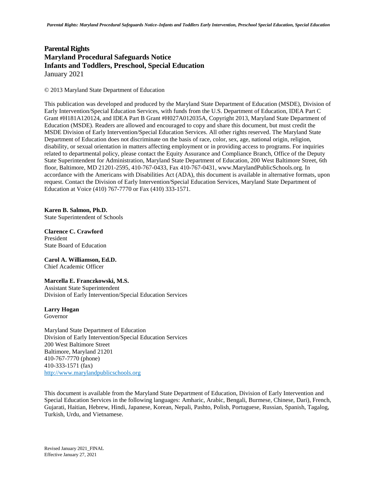#### **Parental Rights Maryland Procedural Safeguards Notice Infants and Toddlers, Preschool, Special Education** January 2021

© 2013 Maryland State Department of Education

This publication was developed and produced by the Maryland State Department of Education (MSDE), Division of Early Intervention/Special Education Services, with funds from the U.S. Department of Education, IDEA Part C Grant #H181A120124, and IDEA Part B Grant #H027A012035A, Copyright 2013, Maryland State Department of Education (MSDE). Readers are allowed and encouraged to copy and share this document, but must credit the MSDE Division of Early Intervention/Special Education Services. All other rights reserved. The Maryland State Department of Education does not discriminate on the basis of race, color, sex, age, national origin, religion, disability, or sexual orientation in matters affecting employment or in providing access to programs. For inquiries related to departmental policy, please contact the Equity Assurance and Compliance Branch, Office of the Deputy State Superintendent for Administration, Maryland State Department of Education, 200 West Baltimore Street, 6th floor, Baltimore, MD 21201-2595, 410-767-0433, Fax 410-767-0431, www.MarylandPublicSchools.org. In accordance with the Americans with Disabilities Act (ADA), this document is available in alternative formats, upon request. Contact the Division of Early Intervention/Special Education Services, Maryland State Department of Education at Voice (410) 767-7770 or Fax (410) 333-1571.

**Karen B. Salmon, Ph.D.**  State Superintendent of Schools

**Clarence C. Crawford** President State Board of Education

**Carol A. Williamson, Ed.D.** Chief Academic Officer

**Marcella E. Franczkowski, M.S.** Assistant State Superintendent

Division of Early Intervention/Special Education Services

**Larry Hogan** Governor

Maryland State Department of Education Division of Early Intervention/Special Education Services 200 West Baltimore Street Baltimore, Maryland 21201 410-767-7770 (phone) 410-333-1571 (fax) [http://www.marylandpublicschools.org](http://www.marylandpublicschools.org/)

This document is available from the Maryland State Department of Education, Division of Early Intervention and Special Education Services in the following languages: Amharic, Arabic, Bengali, Burmese, Chinese, Dari), French, Gujarati, Haitian, Hebrew, Hindi, Japanese, Korean, Nepali, Pashto, Polish, Portuguese, Russian, Spanish, Tagalog, Turkish, Urdu, and Vietnamese.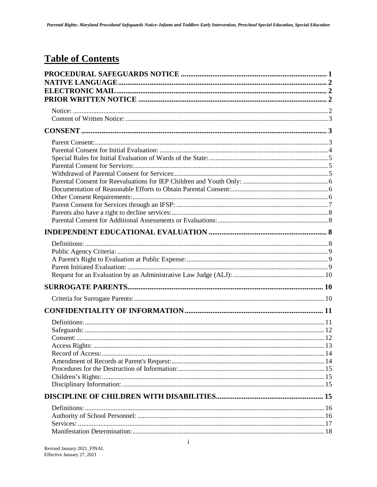# **Table of Contents**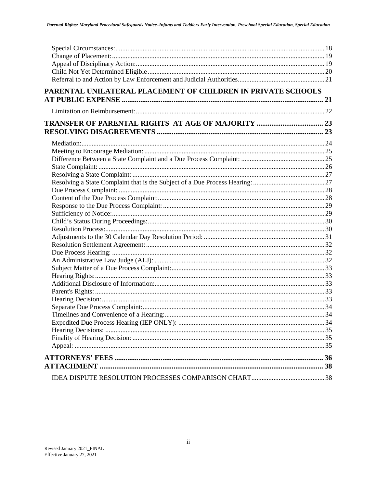| PARENTAL UNILATERAL PLACEMENT OF CHILDREN IN PRIVATE SCHOOLS |  |
|--------------------------------------------------------------|--|
|                                                              |  |
|                                                              |  |
|                                                              |  |
|                                                              |  |
|                                                              |  |
|                                                              |  |
|                                                              |  |
|                                                              |  |
|                                                              |  |
|                                                              |  |
|                                                              |  |
|                                                              |  |
|                                                              |  |
|                                                              |  |
|                                                              |  |
|                                                              |  |
|                                                              |  |
|                                                              |  |
|                                                              |  |
|                                                              |  |
|                                                              |  |
|                                                              |  |
|                                                              |  |
|                                                              |  |
|                                                              |  |
|                                                              |  |
|                                                              |  |
|                                                              |  |
|                                                              |  |
|                                                              |  |
|                                                              |  |
|                                                              |  |
|                                                              |  |
|                                                              |  |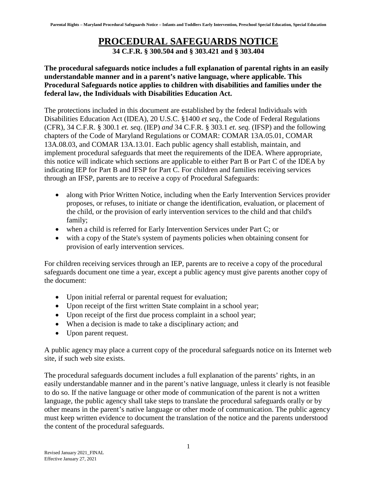#### **PROCEDURAL SAFEGUARDS NOTICE**

**34 C.F.R. § 300.504 and § 303.421 and § 303.404**

#### <span id="page-4-0"></span>**The procedural safeguards notice includes a full explanation of parental rights in an easily understandable manner and in a parent's native language, where applicable. This Procedural Safeguards notice applies to children with disabilities and families under the federal law, the Individuals with Disabilities Education Act.**

The protections included in this document are established by the federal Individuals with Disabilities Education Act (IDEA), 20 U.S.C. §1400 *et seq*., the Code of Federal Regulations (CFR), 34 C.F.R. § 300.1 *et. seq*. (IEP) *and* 34 C.F.R. § 303.1 *et. seq.* (IFSP) and the following chapters of the Code of Maryland Regulations or COMAR: COMAR 13A.05.01, COMAR 13A.08.03, and COMAR 13A.13.01. Each public agency shall establish, maintain, and implement procedural safeguards that meet the requirements of the IDEA. Where appropriate, this notice will indicate which sections are applicable to either Part B or Part C of the IDEA by indicating IEP for Part B and IFSP for Part C. For children and families receiving services through an IFSP, parents are to receive a copy of Procedural Safeguards:

- along with Prior Written Notice, including when the Early Intervention Services provider proposes, or refuses, to initiate or change the identification, evaluation, or placement of the child, or the provision of early intervention services to the child and that child's family;
- when a child is referred for Early Intervention Services under Part C; or
- with a copy of the State's system of payments policies when obtaining consent for provision of early intervention services.

For children receiving services through an IEP, parents are to receive a copy of the procedural safeguards document one time a year, except a public agency must give parents another copy of the document:

- Upon initial referral or parental request for evaluation;
- Upon receipt of the first written State complaint in a school year;
- Upon receipt of the first due process complaint in a school year;
- When a decision is made to take a disciplinary action; and
- Upon parent request.

A public agency may place a current copy of the procedural safeguards notice on its Internet web site, if such web site exists.

The procedural safeguards document includes a full explanation of the parents' rights, in an easily understandable manner and in the parent's native language, unless it clearly is not feasible to do so. If the native language or other mode of communication of the parent is not a written language, the public agency shall take steps to translate the procedural safeguards orally or by other means in the parent's native language or other mode of communication. The public agency must keep written evidence to document the translation of the notice and the parents understood the content of the procedural safeguards.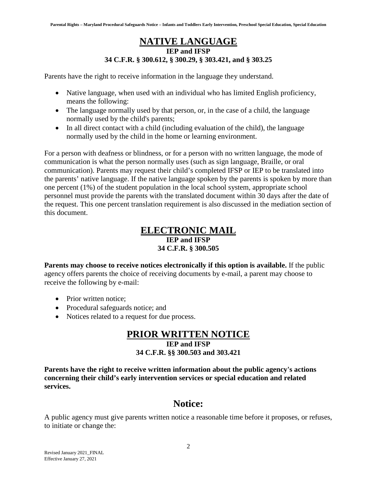#### **NATIVE LANGUAGE IEP and IFSP 34 C.F.R. § 300.612, § 300.29, § 303.421, and § 303.25**

<span id="page-5-0"></span>Parents have the right to receive information in the language they understand.

- Native language, when used with an individual who has limited English proficiency, means the following:
- The language normally used by that person, or, in the case of a child, the language normally used by the child's parents;
- In all direct contact with a child (including evaluation of the child), the language normally used by the child in the home or learning environment.

For a person with deafness or blindness, or for a person with no written language, the mode of communication is what the person normally uses (such as sign language, Braille, or oral communication). Parents may request their child's completed IFSP or IEP to be translated into the parents' native language. If the native language spoken by the parents is spoken by more than one percent (1%) of the student population in the local school system, appropriate school personnel must provide the parents with the translated document within 30 days after the date of the request. This one percent translation requirement is also discussed in the mediation section of this document.

#### **ELECTRONIC MAIL**

#### **IEP and IFSP**

#### **34 C.F.R. § 300.505**

<span id="page-5-1"></span>**Parents may choose to receive notices electronically if this option is available.** If the public agency offers parents the choice of receiving documents by e-mail, a parent may choose to receive the following by e-mail:

- Prior written notice:
- Procedural safeguards notice; and
- <span id="page-5-2"></span>• Notices related to a request for due process.

### **PRIOR WRITTEN NOTICE**

#### **IEP and IFSP 34 C.F.R. §§ 300.503 and 303.421**

**Parents have the right to receive written information about the public agency's actions concerning their child's early intervention services or special education and related services.**

#### **Notice:**

<span id="page-5-3"></span>A public agency must give parents written notice a reasonable time before it proposes, or refuses, to initiate or change the: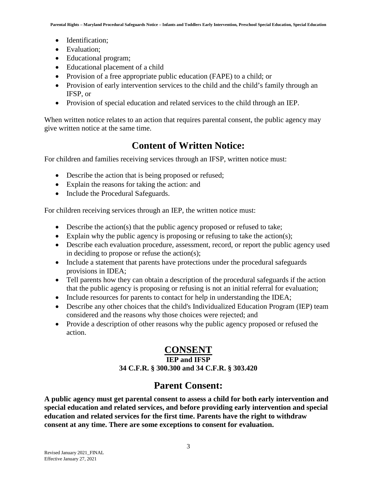- Identification:
- Evaluation;
- Educational program;
- Educational placement of a child
- Provision of a free appropriate public education (FAPE) to a child; or
- Provision of early intervention services to the child and the child's family through an IFSP, or
- Provision of special education and related services to the child through an IEP.

When written notice relates to an action that requires parental consent, the public agency may give written notice at the same time.

#### **Content of Written Notice:**

<span id="page-6-0"></span>For children and families receiving services through an IFSP, written notice must:

- Describe the action that is being proposed or refused;
- Explain the reasons for taking the action: and
- Include the Procedural Safeguards.

For children receiving services through an IEP, the written notice must:

- Describe the action(s) that the public agency proposed or refused to take;
- Explain why the public agency is proposing or refusing to take the action(s);
- Describe each evaluation procedure, assessment, record, or report the public agency used in deciding to propose or refuse the action(s);
- Include a statement that parents have protections under the procedural safeguards provisions in IDEA;
- Tell parents how they can obtain a description of the procedural safeguards if the action that the public agency is proposing or refusing is not an initial referral for evaluation;
- Include resources for parents to contact for help in understanding the IDEA;
- Describe any other choices that the child's Individualized Education Program (IEP) team considered and the reasons why those choices were rejected; and
- <span id="page-6-1"></span>• Provide a description of other reasons why the public agency proposed or refused the action.

#### **CONSENT**

#### **IEP and IFSP**

**34 C.F.R. § 300.300 and 34 C.F.R. § 303.420**

#### **Parent Consent:**

<span id="page-6-2"></span>**A public agency must get parental consent to assess a child for both early intervention and special education and related services, and before providing early intervention and special education and related services for the first time. Parents have the right to withdraw consent at any time. There are some exceptions to consent for evaluation.**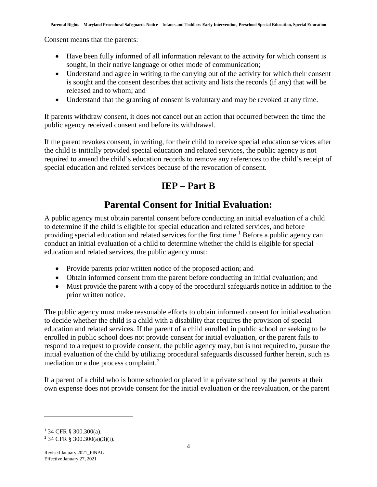Consent means that the parents:

- Have been fully informed of all information relevant to the activity for which consent is sought, in their native language or other mode of communication;
- Understand and agree in writing to the carrying out of the activity for which their consent is sought and the consent describes that activity and lists the records (if any) that will be released and to whom; and
- Understand that the granting of consent is voluntary and may be revoked at any time.

If parents withdraw consent, it does not cancel out an action that occurred between the time the public agency received consent and before its withdrawal.

If the parent revokes consent, in writing, for their child to receive special education services after the child is initially provided special education and related services, the public agency is not required to amend the child's education records to remove any references to the child's receipt of special education and related services because of the revocation of consent.

# **IEP – Part B**

### **Parental Consent for Initial Evaluation:**

<span id="page-7-0"></span>A public agency must obtain parental consent before conducting an initial evaluation of a child to determine if the child is eligible for special education and related services, and before providing special education and related services for the first time.<sup>[1](#page-7-1)</sup> Before a public agency can conduct an initial evaluation of a child to determine whether the child is eligible for special education and related services, the public agency must:

- Provide parents prior written notice of the proposed action; and
- Obtain informed consent from the parent before conducting an initial evaluation; and
- Must provide the parent with a copy of the procedural safeguards notice in addition to the prior written notice.

The public agency must make reasonable efforts to obtain informed consent for initial evaluation to decide whether the child is a child with a disability that requires the provision of special education and related services. If the parent of a child enrolled in public school or seeking to be enrolled in public school does not provide consent for initial evaluation, or the parent fails to respond to a request to provide consent, the public agency may, but is not required to, pursue the initial evaluation of the child by utilizing procedural safeguards discussed further herein, such as mediation or a due process complaint.<sup>[2](#page-7-2)</sup>

If a parent of a child who is home schooled or placed in a private school by the parents at their own expense does not provide consent for the initial evaluation or the reevaluation, or the parent

<span id="page-7-1"></span><sup>1</sup> 34 CFR § 300.300(a).

<span id="page-7-2"></span><sup>2</sup> 34 CFR § 300.300(a)(3)(i).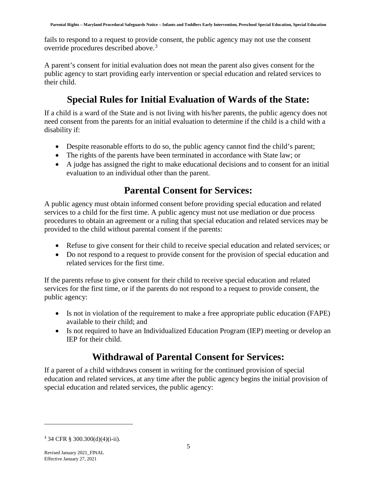fails to respond to a request to provide consent, the public agency may not use the consent override procedures described above.<sup>[3](#page-8-3)</sup>

A parent's consent for initial evaluation does not mean the parent also gives consent for the public agency to start providing early intervention or special education and related services to their child.

# **Special Rules for Initial Evaluation of Wards of the State:**

<span id="page-8-0"></span>If a child is a ward of the State and is not living with his/her parents, the public agency does not need consent from the parents for an initial evaluation to determine if the child is a child with a disability if:

- Despite reasonable efforts to do so, the public agency cannot find the child's parent;
- The rights of the parents have been terminated in accordance with State law; or
- <span id="page-8-1"></span>• A judge has assigned the right to make educational decisions and to consent for an initial evaluation to an individual other than the parent.

# **Parental Consent for Services:**

A public agency must obtain informed consent before providing special education and related services to a child for the first time. A public agency must not use mediation or due process procedures to obtain an agreement or a ruling that special education and related services may be provided to the child without parental consent if the parents:

- Refuse to give consent for their child to receive special education and related services; or
- Do not respond to a request to provide consent for the provision of special education and related services for the first time.

If the parents refuse to give consent for their child to receive special education and related services for the first time, or if the parents do not respond to a request to provide consent, the public agency:

- Is not in violation of the requirement to make a free appropriate public education (FAPE) available to their child; and
- <span id="page-8-2"></span>• Is not required to have an Individualized Education Program (IEP) meeting or develop an IEP for their child.

# **Withdrawal of Parental Consent for Services:**

If a parent of a child withdraws consent in writing for the continued provision of special education and related services, at any time after the public agency begins the initial provision of special education and related services, the public agency:

<span id="page-8-3"></span><sup>3</sup> 34 CFR § 300.300(d)(4)(i-ii).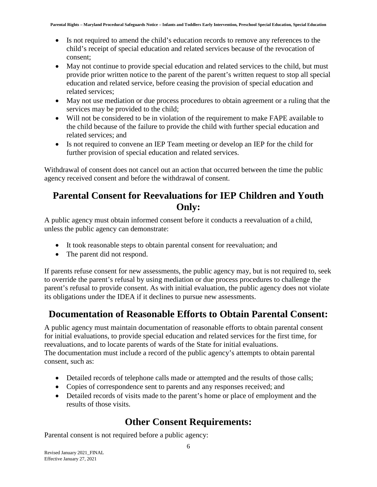- Is not required to amend the child's education records to remove any references to the child's receipt of special education and related services because of the revocation of consent;
- May not continue to provide special education and related services to the child, but must provide prior written notice to the parent of the parent's written request to stop all special education and related service, before ceasing the provision of special education and related services;
- May not use mediation or due process procedures to obtain agreement or a ruling that the services may be provided to the child;
- Will not be considered to be in violation of the requirement to make FAPE available to the child because of the failure to provide the child with further special education and related services; and
- Is not required to convene an IEP Team meeting or develop an IEP for the child for further provision of special education and related services.

Withdrawal of consent does not cancel out an action that occurred between the time the public agency received consent and before the withdrawal of consent.

### <span id="page-9-0"></span>**Parental Consent for Reevaluations for IEP Children and Youth Only:**

A public agency must obtain informed consent before it conducts a reevaluation of a child, unless the public agency can demonstrate:

- It took reasonable steps to obtain parental consent for reevaluation; and
- The parent did not respond.

If parents refuse consent for new assessments, the public agency may, but is not required to, seek to override the parent's refusal by using mediation or due process procedures to challenge the parent's refusal to provide consent. As with initial evaluation, the public agency does not violate its obligations under the IDEA if it declines to pursue new assessments.

# <span id="page-9-1"></span>**Documentation of Reasonable Efforts to Obtain Parental Consent:**

A public agency must maintain documentation of reasonable efforts to obtain parental consent for initial evaluations, to provide special education and related services for the first time, for reevaluations, and to locate parents of wards of the State for initial evaluations. The documentation must include a record of the public agency's attempts to obtain parental consent, such as:

- Detailed records of telephone calls made or attempted and the results of those calls;
- Copies of correspondence sent to parents and any responses received; and
- <span id="page-9-2"></span>• Detailed records of visits made to the parent's home or place of employment and the results of those visits.

# **Other Consent Requirements:**

Parental consent is not required before a public agency: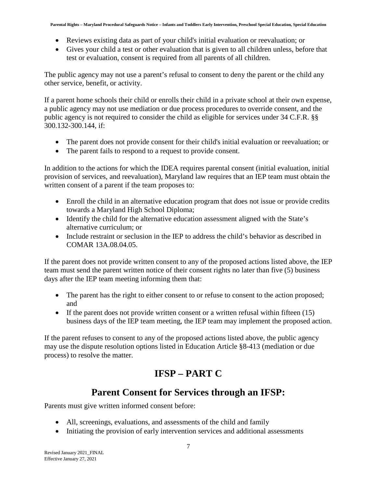- Reviews existing data as part of your child's initial evaluation or reevaluation; or
- Gives your child a test or other evaluation that is given to all children unless, before that test or evaluation, consent is required from all parents of all children.

The public agency may not use a parent's refusal to consent to deny the parent or the child any other service, benefit, or activity.

If a parent home schools their child or enrolls their child in a private school at their own expense, a public agency may not use mediation or due process procedures to override consent, and the public agency is not required to consider the child as eligible for services under 34 C.F.R. §§ 300.132-300.144, if:

- The parent does not provide consent for their child's initial evaluation or reevaluation; or
- The parent fails to respond to a request to provide consent.

In addition to the actions for which the IDEA requires parental consent (initial evaluation, initial provision of services, and reevaluation), Maryland law requires that an IEP team must obtain the written consent of a parent if the team proposes to:

- Enroll the child in an alternative education program that does not issue or provide credits towards a Maryland High School Diploma;
- Identify the child for the alternative education assessment aligned with the State's alternative curriculum; or
- Include restraint or seclusion in the IEP to address the child's behavior as described in COMAR 13A.08.04.05.

If the parent does not provide written consent to any of the proposed actions listed above, the IEP team must send the parent written notice of their consent rights no later than five (5) business days after the IEP team meeting informing them that:

- The parent has the right to either consent to or refuse to consent to the action proposed; and
- If the parent does not provide written consent or a written refusal within fifteen (15) business days of the IEP team meeting, the IEP team may implement the proposed action.

If the parent refuses to consent to any of the proposed actions listed above, the public agency may use the dispute resolution options listed in Education Article §8-413 (mediation or due process) to resolve the matter.

# **IFSP – PART C**

### **Parent Consent for Services through an IFSP:**

<span id="page-10-0"></span>Parents must give written informed consent before:

- All, screenings, evaluations, and assessments of the child and family
- Initiating the provision of early intervention services and additional assessments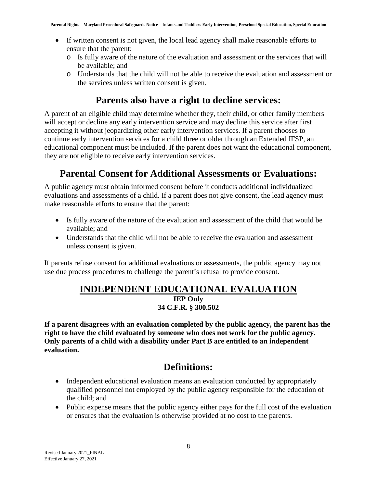- If written consent is not given, the local lead agency shall make reasonable efforts to ensure that the parent:
	- o Is fully aware of the nature of the evaluation and assessment or the services that will be available; and
	- o Understands that the child will not be able to receive the evaluation and assessment or the services unless written consent is given.

#### **Parents also have a right to decline services:**

<span id="page-11-0"></span>A parent of an eligible child may determine whether they, their child, or other family members will accept or decline any early intervention service and may decline this service after first accepting it without jeopardizing other early intervention services. If a parent chooses to continue early intervention services for a child three or older through an Extended IFSP, an educational component must be included. If the parent does not want the educational component, they are not eligible to receive early intervention services.

### **Parental Consent for Additional Assessments or Evaluations:**

<span id="page-11-1"></span>A public agency must obtain informed consent before it conducts additional individualized evaluations and assessments of a child. If a parent does not give consent, the lead agency must make reasonable efforts to ensure that the parent:

- Is fully aware of the nature of the evaluation and assessment of the child that would be available; and
- Understands that the child will not be able to receive the evaluation and assessment unless consent is given.

<span id="page-11-2"></span>If parents refuse consent for additional evaluations or assessments, the public agency may not use due process procedures to challenge the parent's refusal to provide consent.

### **INDEPENDENT EDUCATIONAL EVALUATION**

#### **IEP Only 34 C.F.R. § 300.502**

**If a parent disagrees with an evaluation completed by the public agency, the parent has the right to have the child evaluated by someone who does not work for the public agency. Only parents of a child with a disability under Part B are entitled to an independent evaluation.**

#### **Definitions:**

- <span id="page-11-3"></span>• Independent educational evaluation means an evaluation conducted by appropriately qualified personnel not employed by the public agency responsible for the education of the child; and
- Public expense means that the public agency either pays for the full cost of the evaluation or ensures that the evaluation is otherwise provided at no cost to the parents.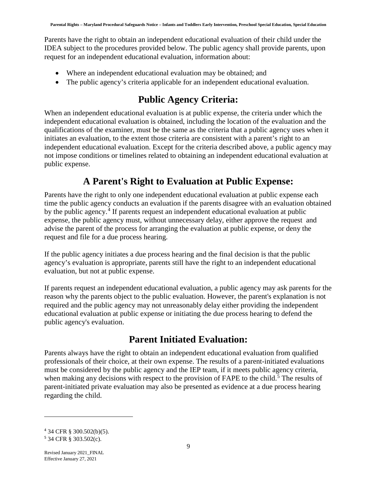Parents have the right to obtain an independent educational evaluation of their child under the IDEA subject to the procedures provided below. The public agency shall provide parents, upon request for an independent educational evaluation, information about:

- Where an independent educational evaluation may be obtained; and
- <span id="page-12-0"></span>• The public agency's criteria applicable for an independent educational evaluation.

# **Public Agency Criteria:**

When an independent educational evaluation is at public expense, the criteria under which the independent educational evaluation is obtained, including the location of the evaluation and the qualifications of the examiner, must be the same as the criteria that a public agency uses when it initiates an evaluation, to the extent those criteria are consistent with a parent's right to an independent educational evaluation. Except for the criteria described above, a public agency may not impose conditions or timelines related to obtaining an independent educational evaluation at public expense.

# **A Parent's Right to Evaluation at Public Expense:**

<span id="page-12-1"></span>Parents have the right to only one independent educational evaluation at public expense each time the public agency conducts an evaluation if the parents disagree with an evaluation obtained by the public agency.<sup>[4](#page-12-3)</sup> If parents request an independent educational evaluation at public expense, the public agency must, without unnecessary delay, either approve the request and advise the parent of the process for arranging the evaluation at public expense, or deny the request and file for a due process hearing.

If the public agency initiates a due process hearing and the final decision is that the public agency's evaluation is appropriate, parents still have the right to an independent educational evaluation, but not at public expense.

If parents request an independent educational evaluation, a public agency may ask parents for the reason why the parents object to the public evaluation. However, the parent's explanation is not required and the public agency may not unreasonably delay either providing the independent educational evaluation at public expense or initiating the due process hearing to defend the public agency's evaluation.

# **Parent Initiated Evaluation:**

<span id="page-12-2"></span>Parents always have the right to obtain an independent educational evaluation from qualified professionals of their choice, at their own expense. The results of a parent-initiated evaluations must be considered by the public agency and the IEP team, if it meets public agency criteria, when making any decisions with respect to the provision of FAPE to the child.<sup>[5](#page-12-4)</sup> The results of parent-initiated private evaluation may also be presented as evidence at a due process hearing regarding the child.

<span id="page-12-3"></span><sup>4</sup> 34 CFR § 300.502(b)(5).

<span id="page-12-4"></span><sup>5</sup> 34 CFR § 303.502(c).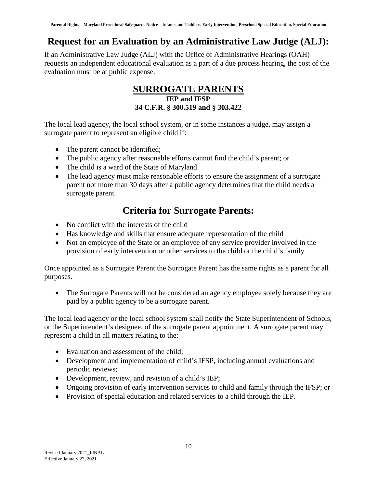### <span id="page-13-0"></span>**Request for an Evaluation by an Administrative Law Judge (ALJ):**

<span id="page-13-1"></span>If an Administrative Law Judge (ALJ) with the Office of Administrative Hearings (OAH) requests an independent educational evaluation as a part of a due process hearing, the cost of the evaluation must be at public expense.

#### **SURROGATE PARENTS IEP and IFSP 34 C.F.R. § 300.519 and § 303.422**

The local lead agency, the local school system, or in some instances a judge, may assign a surrogate parent to represent an eligible child if:

- The parent cannot be identified;
- The public agency after reasonable efforts cannot find the child's parent; or
- The child is a ward of the State of Maryland.
- The lead agency must make reasonable efforts to ensure the assignment of a surrogate parent not more than 30 days after a public agency determines that the child needs a surrogate parent.

### **Criteria for Surrogate Parents:**

- <span id="page-13-2"></span>• No conflict with the interests of the child
- Has knowledge and skills that ensure adequate representation of the child
- Not an employee of the State or an employee of any service provider involved in the provision of early intervention or other services to the child or the child's family

Once appointed as a Surrogate Parent the Surrogate Parent has the same rights as a parent for all purposes.

• The Surrogate Parents will not be considered an agency employee solely because they are paid by a public agency to be a surrogate parent.

The local lead agency or the local school system shall notify the State Superintendent of Schools, or the Superintendent's designee, of the surrogate parent appointment. A surrogate parent may represent a child in all matters relating to the:

- Evaluation and assessment of the child;
- Development and implementation of child's IFSP, including annual evaluations and periodic reviews;
- Development, review, and revision of a child's IEP;
- Ongoing provision of early intervention services to child and family through the IFSP; or
- Provision of special education and related services to a child through the IEP.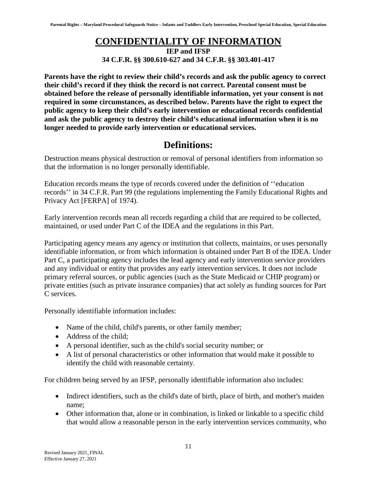### **CONFIDENTIALITY OF INFORMATION**

**IEP and IFSP 34 C.F.R. §§ 300.610-627 and 34 C.F.R. §§ 303.401-417**

<span id="page-14-0"></span>**Parents have the right to review their child's records and ask the public agency to correct their child's record if they think the record is not correct. Parental consent must be obtained before the release of personally identifiable information, yet your consent is not required in some circumstances, as described below. Parents have the right to expect the public agency to keep their child's early intervention or educational records confidential and ask the public agency to destroy their child's educational information when it is no longer needed to provide early intervention or educational services.**

#### **Definitions:**

<span id="page-14-1"></span>Destruction means physical destruction or removal of personal identifiers from information so that the information is no longer personally identifiable.

Education records means the type of records covered under the definition of ''education records'' in 34 C.F.R. Part 99 (the regulations implementing the Family Educational Rights and Privacy Act [FERPA] of 1974).

Early intervention records mean all records regarding a child that are required to be collected, maintained, or used under Part C of the IDEA and the regulations in this Part.

Participating agency means any agency or institution that collects, maintains, or uses personally identifiable information, or from which information is obtained under Part B of the IDEA. Under Part C, a participating agency includes the lead agency and early intervention service providers and any individual or entity that provides any early intervention services. It does not include primary referral sources, or public agencies (such as the State Medicaid or CHIP program) or private entities (such as private insurance companies) that act solely as funding sources for Part C services.

Personally identifiable information includes:

- Name of the child, child's parents, or other family member;
- Address of the child;
- A personal identifier, such as the child's social security number; or
- A list of personal characteristics or other information that would make it possible to identify the child with reasonable certainty.

For children being served by an IFSP, personally identifiable information also includes:

- Indirect identifiers, such as the child's date of birth, place of birth, and mother's maiden name;
- Other information that, alone or in combination, is linked or linkable to a specific child that would allow a reasonable person in the early intervention services community, who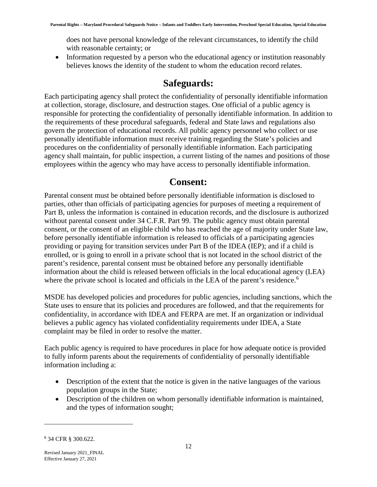does not have personal knowledge of the relevant circumstances, to identify the child with reasonable certainty; or

<span id="page-15-0"></span>• Information requested by a person who the educational agency or institution reasonably believes knows the identity of the student to whom the education record relates.

#### **Safeguards:**

Each participating agency shall protect the confidentiality of personally identifiable information at collection, storage, disclosure, and destruction stages. One official of a public agency is responsible for protecting the confidentiality of personally identifiable information. In addition to the requirements of these procedural safeguards, federal and State laws and regulations also govern the protection of educational records. All public agency personnel who collect or use personally identifiable information must receive training regarding the State's policies and procedures on the confidentiality of personally identifiable information. Each participating agency shall maintain, for public inspection, a current listing of the names and positions of those employees within the agency who may have access to personally identifiable information.

#### **Consent:**

<span id="page-15-1"></span>Parental consent must be obtained before personally identifiable information is disclosed to parties, other than officials of participating agencies for purposes of meeting a requirement of Part B, unless the information is contained in education records, and the disclosure is authorized without parental consent under 34 C.F.R. Part 99. The public agency must obtain parental consent, or the consent of an eligible child who has reached the age of majority under State law, before personally identifiable information is released to officials of a participating agencies providing or paying for transition services under Part B of the IDEA (IEP); and if a child is enrolled, or is going to enroll in a private school that is not located in the school district of the parent's residence, parental consent must be obtained before any personally identifiable information about the child is released between officials in the local educational agency (LEA) where the private school is located and officials in the LEA of the parent's residence.<sup>[6](#page-15-2)</sup>

MSDE has developed policies and procedures for public agencies, including sanctions, which the State uses to ensure that its policies and procedures are followed, and that the requirements for confidentiality, in accordance with IDEA and FERPA are met. If an organization or individual believes a public agency has violated confidentiality requirements under IDEA, a State complaint may be filed in order to resolve the matter.

Each public agency is required to have procedures in place for how adequate notice is provided to fully inform parents about the requirements of confidentiality of personally identifiable information including a:

- Description of the extent that the notice is given in the native languages of the various population groups in the State;
- Description of the children on whom personally identifiable information is maintained, and the types of information sought;

<span id="page-15-2"></span><sup>6</sup> 34 CFR § 300.622.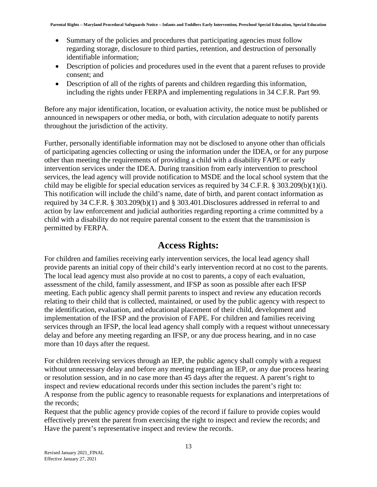- Summary of the policies and procedures that participating agencies must follow regarding storage, disclosure to third parties, retention, and destruction of personally identifiable information;
- Description of policies and procedures used in the event that a parent refuses to provide consent; and
- Description of all of the rights of parents and children regarding this information, including the rights under FERPA and implementing regulations in 34 C.F.R. Part 99.

Before any major identification, location, or evaluation activity, the notice must be published or announced in newspapers or other media, or both, with circulation adequate to notify parents throughout the jurisdiction of the activity.

Further, personally identifiable information may not be disclosed to anyone other than officials of participating agencies collecting or using the information under the IDEA, or for any purpose other than meeting the requirements of providing a child with a disability FAPE or early intervention services under the IDEA. During transition from early intervention to preschool services, the lead agency will provide notification to MSDE and the local school system that the child may be eligible for special education services as required by 34 C.F.R. § 303.209(b)(1)(i). This notification will include the child's name, date of birth, and parent contact information as required by 34 C.F.R. § 303.209(b)(1) and § 303.401.Disclosures addressed in referral to and action by law enforcement and judicial authorities regarding reporting a crime committed by a child with a disability do not require parental consent to the extent that the transmission is permitted by FERPA.

#### **Access Rights:**

<span id="page-16-0"></span>For children and families receiving early intervention services, the local lead agency shall provide parents an initial copy of their child's early intervention record at no cost to the parents. The local lead agency must also provide at no cost to parents, a copy of each evaluation, assessment of the child, family assessment, and IFSP as soon as possible after each IFSP meeting. Each public agency shall permit parents to inspect and review any education records relating to their child that is collected, maintained, or used by the public agency with respect to the identification, evaluation, and educational placement of their child, development and implementation of the IFSP and the provision of FAPE. For children and families receiving services through an IFSP, the local lead agency shall comply with a request without unnecessary delay and before any meeting regarding an IFSP, or any due process hearing, and in no case more than 10 days after the request.

For children receiving services through an IEP, the public agency shall comply with a request without unnecessary delay and before any meeting regarding an IEP, or any due process hearing or resolution session, and in no case more than 45 days after the request. A parent's right to inspect and review educational records under this section includes the parent's right to: A response from the public agency to reasonable requests for explanations and interpretations of the records;

Request that the public agency provide copies of the record if failure to provide copies would effectively prevent the parent from exercising the right to inspect and review the records; and Have the parent's representative inspect and review the records.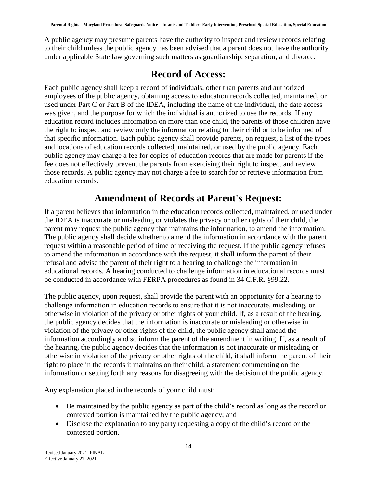A public agency may presume parents have the authority to inspect and review records relating to their child unless the public agency has been advised that a parent does not have the authority under applicable State law governing such matters as guardianship, separation, and divorce.

#### **Record of Access:**

<span id="page-17-0"></span>Each public agency shall keep a record of individuals, other than parents and authorized employees of the public agency, obtaining access to education records collected, maintained, or used under Part C or Part B of the IDEA, including the name of the individual, the date access was given, and the purpose for which the individual is authorized to use the records. If any education record includes information on more than one child, the parents of those children have the right to inspect and review only the information relating to their child or to be informed of that specific information. Each public agency shall provide parents, on request, a list of the types and locations of education records collected, maintained, or used by the public agency. Each public agency may charge a fee for copies of education records that are made for parents if the fee does not effectively prevent the parents from exercising their right to inspect and review those records. A public agency may not charge a fee to search for or retrieve information from education records.

#### **Amendment of Records at Parent's Request:**

<span id="page-17-1"></span>If a parent believes that information in the education records collected, maintained, or used under the IDEA is inaccurate or misleading or violates the privacy or other rights of their child, the parent may request the public agency that maintains the information, to amend the information. The public agency shall decide whether to amend the information in accordance with the parent request within a reasonable period of time of receiving the request. If the public agency refuses to amend the information in accordance with the request, it shall inform the parent of their refusal and advise the parent of their right to a hearing to challenge the information in educational records. A hearing conducted to challenge information in educational records must be conducted in accordance with FERPA procedures as found in 34 C.F.R. §99.22.

The public agency, upon request, shall provide the parent with an opportunity for a hearing to challenge information in education records to ensure that it is not inaccurate, misleading, or otherwise in violation of the privacy or other rights of your child. If, as a result of the hearing, the public agency decides that the information is inaccurate or misleading or otherwise in violation of the privacy or other rights of the child, the public agency shall amend the information accordingly and so inform the parent of the amendment in writing. If, as a result of the hearing, the public agency decides that the information is not inaccurate or misleading or otherwise in violation of the privacy or other rights of the child, it shall inform the parent of their right to place in the records it maintains on their child, a statement commenting on the information or setting forth any reasons for disagreeing with the decision of the public agency.

Any explanation placed in the records of your child must:

- Be maintained by the public agency as part of the child's record as long as the record or contested portion is maintained by the public agency; and
- Disclose the explanation to any party requesting a copy of the child's record or the contested portion.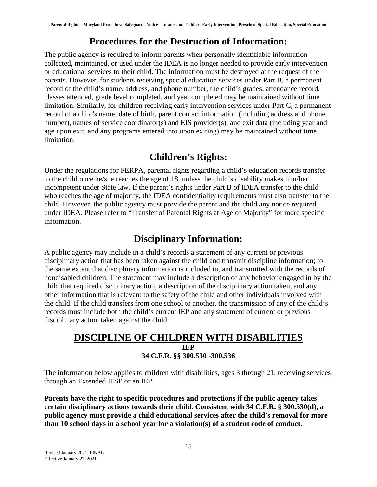#### **Procedures for the Destruction of Information:**

<span id="page-18-0"></span>The public agency is required to inform parents when personally identifiable information collected, maintained, or used under the IDEA is no longer needed to provide early intervention or educational services to their child. The information must be destroyed at the request of the parents. However, for students receiving special education services under Part B, a permanent record of the child's name, address, and phone number, the child's grades, attendance record, classes attended, grade level completed, and year completed may be maintained without time limitation. Similarly, for children receiving early intervention services under Part C, a permanent record of a child's name, date of birth, parent contact information (including address and phone number), names of service coordinator(s) and EIS provider(s), and exit data (including year and age upon exit, and any programs entered into upon exiting) may be maintained without time limitation.

#### **Children's Rights:**

<span id="page-18-1"></span>Under the regulations for FERPA, parental rights regarding a child's education records transfer to the child once he/she reaches the age of 18, unless the child's disability makes him/her incompetent under State law. If the parent's rights under Part B of IDEA transfer to the child who reaches the age of majority, the IDEA confidentiality requirements must also transfer to the child. However, the public agency must provide the parent and the child any notice required under IDEA. Please refer to "Transfer of Parental Rights at Age of Majority" for more specific information.

#### **Disciplinary Information:**

<span id="page-18-2"></span>A public agency may include in a child's records a statement of any current or previous disciplinary action that has been taken against the child and transmit discipline information; to the same extent that disciplinary information is included in, and transmitted with the records of nondisabled children. The statement may include a description of any behavior engaged in by the child that required disciplinary action, a description of the disciplinary action taken, and any other information that is relevant to the safety of the child and other individuals involved with the child. If the child transfers from one school to another, the transmission of any of the child's records must include both the child's current IEP and any statement of current or previous disciplinary action taken against the child.

#### <span id="page-18-3"></span>**DISCIPLINE OF CHILDREN WITH DISABILITIES IEP 34 C.F.R. §§ 300.530 -300.536**

The information below applies to children with disabilities, ages 3 through 21, receiving services through an Extended IFSP or an IEP.

**Parents have the right to specific procedures and protections if the public agency takes certain disciplinary actions towards their child. Consistent with 34 C.F.R. § 300.530(d), a public agency must provide a child educational services after the child's removal for more than 10 school days in a school year for a violation(s) of a student code of conduct.**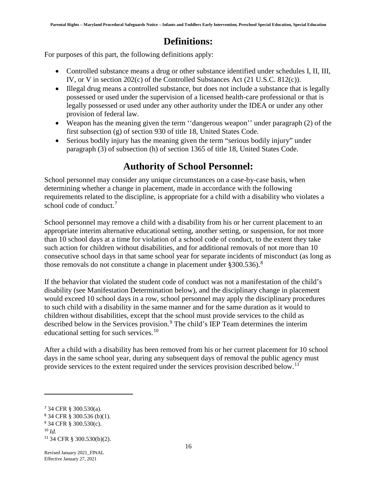#### **Definitions:**

<span id="page-19-0"></span>For purposes of this part, the following definitions apply:

- Controlled substance means a drug or other substance identified under schedules I, II, III, IV, or V in section 202(c) of the Controlled Substances Act (21 U.S.C. 812(c)).
- Illegal drug means a controlled substance, but does not include a substance that is legally possessed or used under the supervision of a licensed health-care professional or that is legally possessed or used under any other authority under the IDEA or under any other provision of federal law.
- Weapon has the meaning given the term ''dangerous weapon'' under paragraph (2) of the first subsection (g) of section 930 of title 18, United States Code.
- <span id="page-19-1"></span>• Serious bodily injury has the meaning given the term "serious bodily injury" under paragraph (3) of subsection (h) of section 1365 of title 18, United States Code.

#### **Authority of School Personnel:**

School personnel may consider any unique circumstances on a case-by-case basis, when determining whether a change in placement, made in accordance with the following requirements related to the discipline, is appropriate for a child with a disability who violates a school code of conduct.<sup>[7](#page-19-2)</sup>

School personnel may remove a child with a disability from his or her current placement to an appropriate interim alternative educational setting, another setting, or suspension, for not more than 10 school days at a time for violation of a school code of conduct, to the extent they take such action for children without disabilities, and for additional removals of not more than 10 consecutive school days in that same school year for separate incidents of misconduct (as long as those removals do not constitute a change in placement under  $§ 300.536$ .<sup>[8](#page-19-3)</sup>

If the behavior that violated the student code of conduct was not a manifestation of the child's disability (see Manifestation Determination below), and the disciplinary change in placement would exceed 10 school days in a row, school personnel may apply the disciplinary procedures to such child with a disability in the same manner and for the same duration as it would to children without disabilities, except that the school must provide services to the child as described below in the Services provision.<sup>[9](#page-19-4)</sup> The child's IEP Team determines the interim educational setting for such services.<sup>[10](#page-19-5)</sup>

After a child with a disability has been removed from his or her current placement for 10 school days in the same school year, during any subsequent days of removal the public agency must provide services to the extent required under the services provision described below.<sup>[11](#page-19-6)</sup>

<span id="page-19-2"></span><sup>7</sup> 34 CFR § 300.530(a).

<span id="page-19-3"></span><sup>8</sup> 34 CFR § 300.536 (b)(1).

<span id="page-19-4"></span><sup>9</sup> 34 CFR § 300.530(c). <sup>10</sup> *Id.*

<span id="page-19-6"></span><span id="page-19-5"></span><sup>11</sup> 34 CFR § 300.530(b)(2).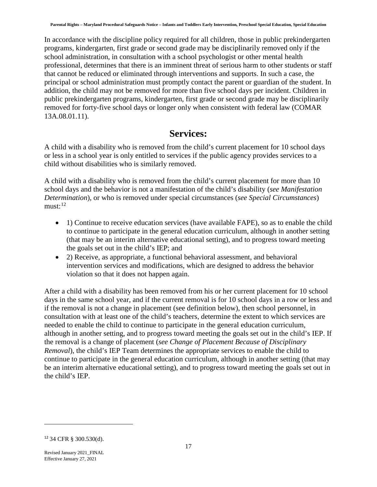In accordance with the discipline policy required for all children, those in public prekindergarten programs, kindergarten, first grade or second grade may be disciplinarily removed only if the school administration, in consultation with a school psychologist or other mental health professional, determines that there is an imminent threat of serious harm to other students or staff that cannot be reduced or eliminated through interventions and supports. In such a case, the principal or school administration must promptly contact the parent or guardian of the student. In addition, the child may not be removed for more than five school days per incident. Children in public prekindergarten programs, kindergarten, first grade or second grade may be disciplinarily removed for forty-five school days or longer only when consistent with federal law (COMAR 13A.08.01.11).

#### **Services:**

<span id="page-20-0"></span>A child with a disability who is removed from the child's current placement for 10 school days or less in a school year is only entitled to services if the public agency provides services to a child without disabilities who is similarly removed.

A child with a disability who is removed from the child's current placement for more than 10 school days and the behavior is not a manifestation of the child's disability (*see Manifestation Determination*), or who is removed under special circumstances (*see Special Circumstances*)  $must:$ <sup>[12](#page-20-1)</sup>

- 1) Continue to receive education services (have available FAPE), so as to enable the child to continue to participate in the general education curriculum, although in another setting (that may be an interim alternative educational setting), and to progress toward meeting the goals set out in the child's IEP; and
- 2) Receive, as appropriate, a functional behavioral assessment, and behavioral intervention services and modifications, which are designed to address the behavior violation so that it does not happen again.

After a child with a disability has been removed from his or her current placement for 10 school days in the same school year, and if the current removal is for 10 school days in a row or less and if the removal is not a change in placement (see definition below), then school personnel, in consultation with at least one of the child's teachers, determine the extent to which services are needed to enable the child to continue to participate in the general education curriculum, although in another setting, and to progress toward meeting the goals set out in the child's IEP. If the removal is a change of placement (*see Change of Placement Because of Disciplinary Removal*), the child's IEP Team determines the appropriate services to enable the child to continue to participate in the general education curriculum, although in another setting (that may be an interim alternative educational setting), and to progress toward meeting the goals set out in the child's IEP.

<span id="page-20-1"></span><sup>12</sup> 34 CFR § 300.530(d).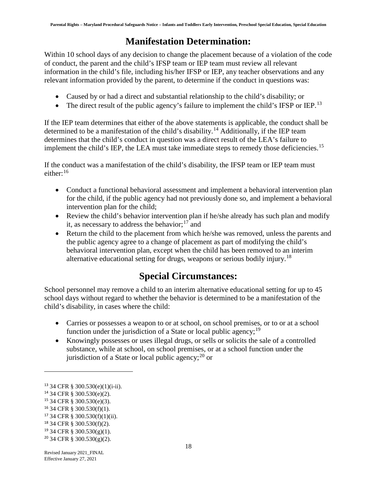### **Manifestation Determination:**

<span id="page-21-0"></span>Within 10 school days of any decision to change the placement because of a violation of the code of conduct, the parent and the child's IFSP team or IEP team must review all relevant information in the child's file, including his/her IFSP or IEP, any teacher observations and any relevant information provided by the parent, to determine if the conduct in questions was:

- Caused by or had a direct and substantial relationship to the child's disability; or
- The direct result of the public agency's failure to implement the child's IFSP or IEP.<sup>[13](#page-21-2)</sup>

If the IEP team determines that either of the above statements is applicable, the conduct shall be determined to be a manifestation of the child's disability.<sup>[14](#page-21-3)</sup> Additionally, if the IEP team determines that the child's conduct in question was a direct result of the LEA's failure to implement the child's IEP, the LEA must take immediate steps to remedy those deficiencies.<sup>[15](#page-21-4)</sup>

If the conduct was a manifestation of the child's disability, the IFSP team or IEP team must either:<sup>[16](#page-21-5)</sup>

- Conduct a functional behavioral assessment and implement a behavioral intervention plan for the child, if the public agency had not previously done so, and implement a behavioral intervention plan for the child;
- Review the child's behavior intervention plan if he/she already has such plan and modify it, as necessary to address the behavior;  $17$  and
- Return the child to the placement from which he/she was removed, unless the parents and the public agency agree to a change of placement as part of modifying the child's behavioral intervention plan, except when the child has been removed to an interim alternative educational setting for drugs, weapons or serious bodily injury.<sup>[18](#page-21-7)</sup>

# **Special Circumstances:**

<span id="page-21-1"></span>School personnel may remove a child to an interim alternative educational setting for up to 45 school days without regard to whether the behavior is determined to be a manifestation of the child's disability, in cases where the child:

- Carries or possesses a weapon to or at school, on school premises, or to or at a school function under the jurisdiction of a State or local public agency;<sup>[19](#page-21-8)</sup>
- Knowingly possesses or uses illegal drugs, or sells or solicits the sale of a controlled substance, while at school, on school premises, or at a school function under the jurisdiction of a State or local public agency; $^{20}$  $^{20}$  $^{20}$  or

<span id="page-21-2"></span><sup>13</sup> 34 CFR § 300.530(e)(1)(i-ii).

<span id="page-21-3"></span><sup>14</sup> 34 CFR § 300.530(e)(2).

<span id="page-21-4"></span><sup>15</sup> 34 CFR § 300.530(e)(3).

<span id="page-21-5"></span><sup>16</sup> 34 CFR § 300.530(f)(1).

<span id="page-21-6"></span><sup>17</sup> 34 CFR § 300.530(f)(1)(ii).

<span id="page-21-7"></span><sup>18</sup> 34 CFR § 300.530(f)(2).

<span id="page-21-8"></span> $19$  34 CFR § 300.530(g)(1).

<span id="page-21-9"></span> $20$  34 CFR § 300.530(g)(2).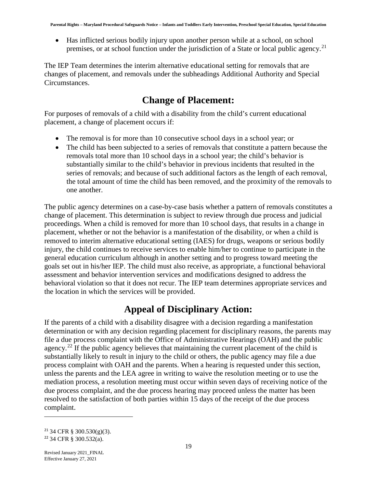• Has inflicted serious bodily injury upon another person while at a school, on school premises, or at school function under the jurisdiction of a State or local public agency.<sup>[21](#page-22-2)</sup>

The IEP Team determines the interim alternative educational setting for removals that are changes of placement, and removals under the subheadings Additional Authority and Special Circumstances.

### **Change of Placement:**

<span id="page-22-0"></span>For purposes of removals of a child with a disability from the child's current educational placement, a change of placement occurs if:

- The removal is for more than 10 consecutive school days in a school year; or
- The child has been subjected to a series of removals that constitute a pattern because the removals total more than 10 school days in a school year; the child's behavior is substantially similar to the child's behavior in previous incidents that resulted in the series of removals; and because of such additional factors as the length of each removal, the total amount of time the child has been removed, and the proximity of the removals to one another.

The public agency determines on a case-by-case basis whether a pattern of removals constitutes a change of placement. This determination is subject to review through due process and judicial proceedings. When a child is removed for more than 10 school days, that results in a change in placement, whether or not the behavior is a manifestation of the disability, or when a child is removed to interim alternative educational setting (IAES) for drugs, weapons or serious bodily injury, the child continues to receive services to enable him/her to continue to participate in the general education curriculum although in another setting and to progress toward meeting the goals set out in his/her IEP. The child must also receive, as appropriate, a functional behavioral assessment and behavior intervention services and modifications designed to address the behavioral violation so that it does not recur. The IEP team determines appropriate services and the location in which the services will be provided.

### **Appeal of Disciplinary Action:**

<span id="page-22-1"></span>If the parents of a child with a disability disagree with a decision regarding a manifestation determination or with any decision regarding placement for disciplinary reasons, the parents may file a due process complaint with the Office of Administrative Hearings (OAH) and the public agency.<sup>[22](#page-22-3)</sup> If the public agency believes that maintaining the current placement of the child is substantially likely to result in injury to the child or others, the public agency may file a due process complaint with OAH and the parents. When a hearing is requested under this section, unless the parents and the LEA agree in writing to waive the resolution meeting or to use the mediation process, a resolution meeting must occur within seven days of receiving notice of the due process complaint, and the due process hearing may proceed unless the matter has been resolved to the satisfaction of both parties within 15 days of the receipt of the due process complaint.

<span id="page-22-3"></span><span id="page-22-2"></span><sup>&</sup>lt;sup>21</sup> 34 CFR § 300.530(g)(3). <sup>22</sup> 34 CFR § 300.532(a).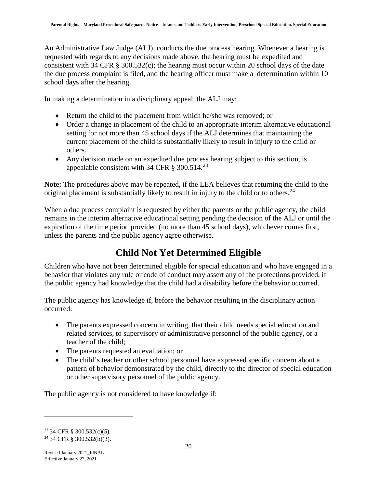An Administrative Law Judge (ALJ), conducts the due process hearing. Whenever a hearing is requested with regards to any decisions made above, the hearing must be expedited and consistent with 34 CFR § 300.532(c); the hearing must occur within 20 school days of the date the due process complaint is filed, and the hearing officer must make a determination within 10 school days after the hearing.

In making a determination in a disciplinary appeal, the ALJ may:

- Return the child to the placement from which he/she was removed; or
- Order a change in placement of the child to an appropriate interim alternative educational setting for not more than 45 school days if the ALJ determines that maintaining the current placement of the child is substantially likely to result in injury to the child or others.
- Any decision made on an expedited due process hearing subject to this section, is appealable consistent with 34 CFR  $\S$  300.514.<sup>[23](#page-23-1)</sup>

**Note:** The procedures above may be repeated, if the LEA believes that returning the child to the original placement is substantially likely to result in injury to the child or to others.<sup>[24](#page-23-2)</sup>

When a due process complaint is requested by either the parents or the public agency, the child remains in the interim alternative educational setting pending the decision of the ALJ or until the expiration of the time period provided (no more than 45 school days), whichever comes first, unless the parents and the public agency agree otherwise.

# **Child Not Yet Determined Eligible**

<span id="page-23-0"></span>Children who have not been determined eligible for special education and who have engaged in a behavior that violates any rule or code of conduct may assert any of the protections provided, if the public agency had knowledge that the child had a disability before the behavior occurred.

The public agency has knowledge if, before the behavior resulting in the disciplinary action occurred:

- The parents expressed concern in writing, that their child needs special education and related services, to supervisory or administrative personnel of the public agency, or a teacher of the child;
- The parents requested an evaluation; or
- The child's teacher or other school personnel have expressed specific concern about a pattern of behavior demonstrated by the child, directly to the director of special education or other supervisory personnel of the public agency.

The public agency is not considered to have knowledge if:

<span id="page-23-1"></span><sup>23</sup> 34 CFR § 300.532(c)(5).

<span id="page-23-2"></span><sup>24</sup> 34 CFR § 300.532(b)(3).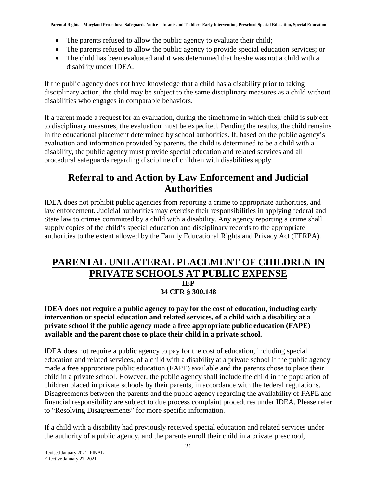- The parents refused to allow the public agency to evaluate their child;
- The parents refused to allow the public agency to provide special education services; or
- The child has been evaluated and it was determined that he/she was not a child with a disability under IDEA.

If the public agency does not have knowledge that a child has a disability prior to taking disciplinary action, the child may be subject to the same disciplinary measures as a child without disabilities who engages in comparable behaviors.

If a parent made a request for an evaluation, during the timeframe in which their child is subject to disciplinary measures, the evaluation must be expedited. Pending the results, the child remains in the educational placement determined by school authorities. If, based on the public agency's evaluation and information provided by parents, the child is determined to be a child with a disability, the public agency must provide special education and related services and all procedural safeguards regarding discipline of children with disabilities apply.

#### <span id="page-24-0"></span>**Referral to and Action by Law Enforcement and Judicial Authorities**

IDEA does not prohibit public agencies from reporting a crime to appropriate authorities, and law enforcement. Judicial authorities may exercise their responsibilities in applying federal and State law to crimes committed by a child with a disability. Any agency reporting a crime shall supply copies of the child's special education and disciplinary records to the appropriate authorities to the extent allowed by the Family Educational Rights and Privacy Act (FERPA).

#### <span id="page-24-1"></span>**PARENTAL UNILATERAL PLACEMENT OF CHILDREN IN PRIVATE SCHOOLS AT PUBLIC EXPENSE IEP 34 CFR § 300.148**

**IDEA does not require a public agency to pay for the cost of education, including early intervention or special education and related services, of a child with a disability at a private school if the public agency made a free appropriate public education (FAPE) available and the parent chose to place their child in a private school.**

IDEA does not require a public agency to pay for the cost of education, including special education and related services, of a child with a disability at a private school if the public agency made a free appropriate public education (FAPE) available and the parents chose to place their child in a private school. However, the public agency shall include the child in the population of children placed in private schools by their parents, in accordance with the federal regulations. Disagreements between the parents and the public agency regarding the availability of FAPE and financial responsibility are subject to due process complaint procedures under IDEA. Please refer to "Resolving Disagreements" for more specific information.

If a child with a disability had previously received special education and related services under the authority of a public agency, and the parents enroll their child in a private preschool,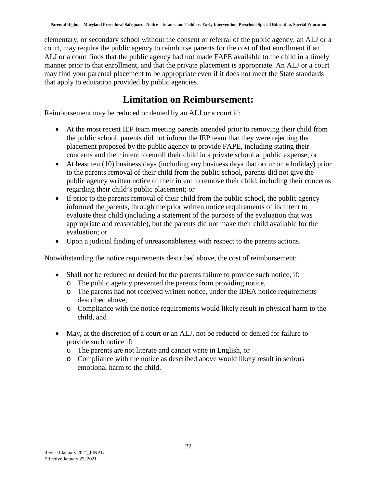elementary, or secondary school without the consent or referral of the public agency, an ALJ or a court, may require the public agency to reimburse parents for the cost of that enrollment if an ALJ or a court finds that the public agency had not made FAPE available to the child in a timely manner prior to that enrollment, and that the private placement is appropriate. An ALJ or a court may find your parental placement to be appropriate even if it does not meet the State standards that apply to education provided by public agencies.

### **Limitation on Reimbursement:**

<span id="page-25-0"></span>Reimbursement may be reduced or denied by an ALJ or a court if:

- At the most recent IEP team meeting parents attended prior to removing their child from the public school, parents did not inform the IEP team that they were rejecting the placement proposed by the public agency to provide FAPE, including stating their concerns and their intent to enroll their child in a private school at public expense; or
- At least ten (10) business days (including any business days that occur on a holiday) prior to the parents removal of their child from the public school, parents did not give the public agency written notice of their intent to remove their child, including their concerns regarding their child's public placement; or
- If prior to the parents removal of their child from the public school, the public agency informed the parents, through the prior written notice requirements of its intent to evaluate their child (including a statement of the purpose of the evaluation that was appropriate and reasonable), but the parents did not make their child available for the evaluation; or
- Upon a judicial finding of unreasonableness with respect to the parents actions.

Notwithstanding the notice requirements described above, the cost of reimbursement:

- Shall not be reduced or denied for the parents failure to provide such notice, if:
	- o The public agency prevented the parents from providing notice,
	- o The parents had not received written notice, under the IDEA notice requirements described above,
	- o Compliance with the notice requirements would likely result in physical harm to the child, and
- <span id="page-25-1"></span>• May, at the discretion of a court or an ALJ, not be reduced or denied for failure to provide such notice if:
	- o The parents are not literate and cannot write in English, or
	- o Compliance with the notice as described above would likely result in serious emotional harm to the child.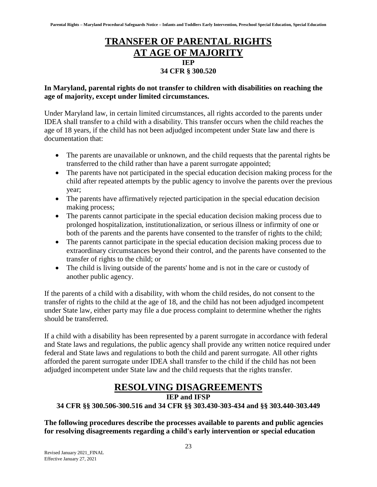#### **TRANSFER OF PARENTAL RIGHTS AT AGE OF MAJORITY IEP 34 CFR § 300.520**

#### **In Maryland, parental rights do not transfer to children with disabilities on reaching the age of majority, except under limited circumstances.**

Under Maryland law, in certain limited circumstances, all rights accorded to the parents under IDEA shall transfer to a child with a disability. This transfer occurs when the child reaches the age of 18 years, if the child has not been adjudged incompetent under State law and there is documentation that:

- The parents are unavailable or unknown, and the child requests that the parental rights be transferred to the child rather than have a parent surrogate appointed;
- The parents have not participated in the special education decision making process for the child after repeated attempts by the public agency to involve the parents over the previous year;
- The parents have affirmatively rejected participation in the special education decision making process;
- The parents cannot participate in the special education decision making process due to prolonged hospitalization, institutionalization, or serious illness or infirmity of one or both of the parents and the parents have consented to the transfer of rights to the child;
- The parents cannot participate in the special education decision making process due to extraordinary circumstances beyond their control, and the parents have consented to the transfer of rights to the child; or
- The child is living outside of the parents' home and is not in the care or custody of another public agency.

If the parents of a child with a disability, with whom the child resides, do not consent to the transfer of rights to the child at the age of 18, and the child has not been adjudged incompetent under State law, either party may file a due process complaint to determine whether the rights should be transferred.

If a child with a disability has been represented by a parent surrogate in accordance with federal and State laws and regulations, the public agency shall provide any written notice required under federal and State laws and regulations to both the child and parent surrogate. All other rights afforded the parent surrogate under IDEA shall transfer to the child if the child has not been adjudged incompetent under State law and the child requests that the rights transfer.

### **RESOLVING DISAGREEMENTS**

**IEP and IFSP**

#### <span id="page-26-0"></span>**34 CFR §§ 300.506-300.516 and 34 CFR §§ 303.430-303-434 and §§ 303.440-303.449**

**The following procedures describe the processes available to parents and public agencies for resolving disagreements regarding a child's early intervention or special education**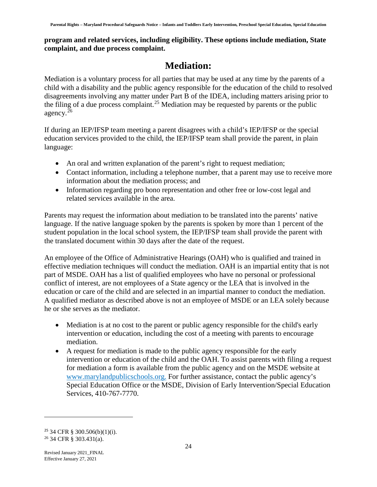#### **program and related services, including eligibility. These options include mediation, State complaint, and due process complaint.**

### **Mediation:**

<span id="page-27-0"></span>Mediation is a voluntary process for all parties that may be used at any time by the parents of a child with a disability and the public agency responsible for the education of the child to resolved disagreements involving any matter under Part B of the IDEA, including matters arising prior to the filing of a due process complaint.<sup>[25](#page-27-1)</sup> Mediation may be requested by parents or the public agency. $^{26}$  $^{26}$  $^{26}$ 

If during an IEP/IFSP team meeting a parent disagrees with a child's IEP/IFSP or the special education services provided to the child, the IEP/IFSP team shall provide the parent, in plain language:

- An oral and written explanation of the parent's right to request mediation;
- Contact information, including a telephone number, that a parent may use to receive more information about the mediation process; and
- Information regarding pro bono representation and other free or low-cost legal and related services available in the area.

Parents may request the information about mediation to be translated into the parents' native language. If the native language spoken by the parents is spoken by more than 1 percent of the student population in the local school system, the IEP/IFSP team shall provide the parent with the translated document within 30 days after the date of the request.

An employee of the Office of Administrative Hearings (OAH) who is qualified and trained in effective mediation techniques will conduct the mediation. OAH is an impartial entity that is not part of MSDE. OAH has a list of qualified employees who have no personal or professional conflict of interest, are not employees of a State agency or the LEA that is involved in the education or care of the child and are selected in an impartial manner to conduct the mediation. A qualified mediator as described above is not an employee of MSDE or an LEA solely because he or she serves as the mediator.

- Mediation is at no cost to the parent or public agency responsible for the child's early intervention or education, including the cost of a meeting with parents to encourage mediation.
- A request for mediation is made to the public agency responsible for the early intervention or education of the child and the OAH. To assist parents with filing a request for mediation a form is available from the public agency and on the MSDE website at [www.marylandpublicschools.org.](http://www.marylandpublicschools.org/) For further assistance, contact the public agency's Special Education Office or the MSDE, Division of Early Intervention/Special Education Services, 410-767-7770.

<span id="page-27-2"></span><span id="page-27-1"></span> $25$  34 CFR § 300.506(b)(1)(i). <sup>26</sup> 34 CFR § 303.431(a).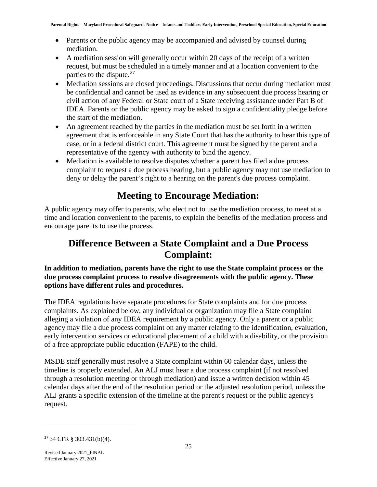- Parents or the public agency may be accompanied and advised by counsel during mediation.
- A mediation session will generally occur within 20 days of the receipt of a written request, but must be scheduled in a timely manner and at a location convenient to the parties to the dispute. $27$
- Mediation sessions are closed proceedings. Discussions that occur during mediation must be confidential and cannot be used as evidence in any subsequent due process hearing or civil action of any Federal or State court of a State receiving assistance under Part B of IDEA. Parents or the public agency may be asked to sign a confidentiality pledge before the start of the mediation.
- An agreement reached by the parties in the mediation must be set forth in a written agreement that is enforceable in any State Court that has the authority to hear this type of case, or in a federal district court. This agreement must be signed by the parent and a representative of the agency with authority to bind the agency.
- Mediation is available to resolve disputes whether a parent has filed a due process complaint to request a due process hearing, but a public agency may not use mediation to deny or delay the parent's right to a hearing on the parent's due process complaint.

# **Meeting to Encourage Mediation:**

<span id="page-28-0"></span>A public agency may offer to parents, who elect not to use the mediation process, to meet at a time and location convenient to the parents, to explain the benefits of the mediation process and encourage parents to use the process.

#### <span id="page-28-1"></span>**Difference Between a State Complaint and a Due Process Complaint:**

**In addition to mediation, parents have the right to use the State complaint process or the due process complaint process to resolve disagreements with the public agency. These options have different rules and procedures.**

The IDEA regulations have separate procedures for State complaints and for due process complaints. As explained below, any individual or organization may file a State complaint alleging a violation of any IDEA requirement by a public agency. Only a parent or a public agency may file a due process complaint on any matter relating to the identification, evaluation, early intervention services or educational placement of a child with a disability, or the provision of a free appropriate public education (FAPE) to the child.

MSDE staff generally must resolve a State complaint within 60 calendar days, unless the timeline is properly extended. An ALJ must hear a due process complaint (if not resolved through a resolution meeting or through mediation) and issue a written decision within 45 calendar days after the end of the resolution period or the adjusted resolution period, unless the ALJ grants a specific extension of the timeline at the parent's request or the public agency's request.

<span id="page-28-2"></span><sup>27</sup> 34 CFR § 303.431(b)(4).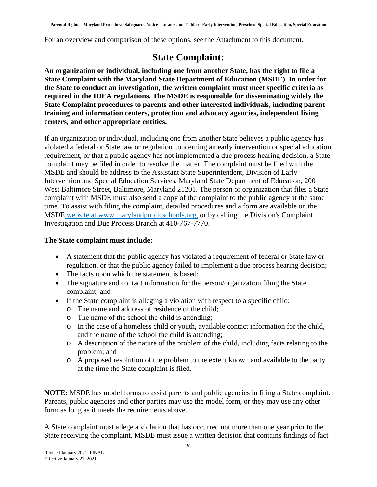<span id="page-29-0"></span>For an overview and comparison of these options, see the Attachment to this document.

### **State Complaint:**

**An organization or individual, including one from another State, has the right to file a State Complaint with the Maryland State Department of Education (MSDE). In order for the State to conduct an investigation, the written complaint must meet specific criteria as required in the IDEA regulations. The MSDE is responsible for disseminating widely the State Complaint procedures to parents and other interested individuals, including parent training and information centers, protection and advocacy agencies, independent living centers, and other appropriate entities.**

If an organization or individual, including one from another State believes a public agency has violated a federal or State law or regulation concerning an early intervention or special education requirement, or that a public agency has not implemented a due process hearing decision, a State complaint may be filed in order to resolve the matter. The complaint must be filed with the MSDE and should be address to the Assistant State Superintendent, Division of Early Intervention and Special Education Services, Maryland State Department of Education, 200 West Baltimore Street, Baltimore, Maryland 21201. The person or organization that files a State complaint with MSDE must also send a copy of the complaint to the public agency at the same time. To assist with filing the complaint, detailed procedures and a form are available on the MSDE [website at www.marylandpublicschools.org,](http://www.marylandpublicschools.org/) or by calling the Division's Complaint Investigation and Due Process Branch at 410-767-7770.

#### **The State complaint must include:**

- A statement that the public agency has violated a requirement of federal or State law or regulation, or that the public agency failed to implement a due process hearing decision;
- The facts upon which the statement is based;
- The signature and contact information for the person/organization filing the State complaint; and
- If the State complaint is alleging a violation with respect to a specific child:
	- o The name and address of residence of the child;
	- o The name of the school the child is attending;
	- o In the case of a homeless child or youth, available contact information for the child, and the name of the school the child is attending;
	- o A description of the nature of the problem of the child, including facts relating to the problem; and
	- o A proposed resolution of the problem to the extent known and available to the party at the time the State complaint is filed.

**NOTE:** MSDE has model forms to assist parents and public agencies in filing a State complaint. Parents, public agencies and other parties may use the model form, or they may use any other form as long as it meets the requirements above.

A State complaint must allege a violation that has occurred not more than one year prior to the State receiving the complaint. MSDE must issue a written decision that contains findings of fact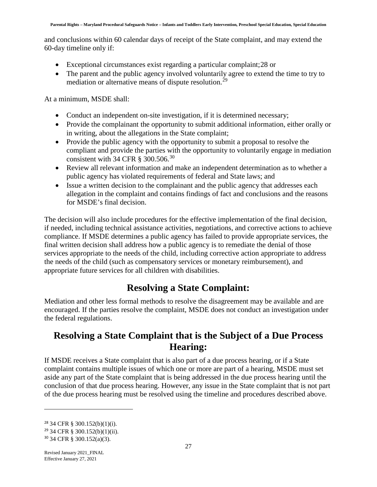and conclusions within 60 calendar days of receipt of the State complaint, and may extend the 60-day timeline only if:

- Exceptional circumstances exist regarding a particular complaint;[28](#page-30-2) or
- The parent and the public agency involved voluntarily agree to extend the time to try to mediation or alternative means of dispute resolution.<sup>[29](#page-30-3)</sup>

At a minimum, MSDE shall:

- Conduct an independent on-site investigation, if it is determined necessary;
- Provide the complainant the opportunity to submit additional information, either orally or in writing, about the allegations in the State complaint;
- Provide the public agency with the opportunity to submit a proposal to resolve the compliant and provide the parties with the opportunity to voluntarily engage in mediation consistent with 34 CFR § [30](#page-30-4)0.506.<sup>30</sup>
- Review all relevant information and make an independent determination as to whether a public agency has violated requirements of federal and State laws; and
- Issue a written decision to the complainant and the public agency that addresses each allegation in the complaint and contains findings of fact and conclusions and the reasons for MSDE's final decision.

The decision will also include procedures for the effective implementation of the final decision, if needed, including technical assistance activities, negotiations, and corrective actions to achieve compliance. If MSDE determines a public agency has failed to provide appropriate services, the final written decision shall address how a public agency is to remediate the denial of those services appropriate to the needs of the child, including corrective action appropriate to address the needs of the child (such as compensatory services or monetary reimbursement), and appropriate future services for all children with disabilities.

# **Resolving a State Complaint:**

<span id="page-30-0"></span>Mediation and other less formal methods to resolve the disagreement may be available and are encouraged. If the parties resolve the complaint, MSDE does not conduct an investigation under the federal regulations.

#### <span id="page-30-1"></span>**Resolving a State Complaint that is the Subject of a Due Process Hearing:**

If MSDE receives a State complaint that is also part of a due process hearing, or if a State complaint contains multiple issues of which one or more are part of a hearing, MSDE must set aside any part of the State complaint that is being addressed in the due process hearing until the conclusion of that due process hearing. However, any issue in the State complaint that is not part of the due process hearing must be resolved using the timeline and procedures described above.

<span id="page-30-2"></span><sup>28</sup> 34 CFR § 300.152(b)(1)(i).

<span id="page-30-3"></span><sup>29</sup> 34 CFR § 300.152(b)(1)(ii).

<span id="page-30-4"></span><sup>30</sup> 34 CFR § 300.152(a)(3).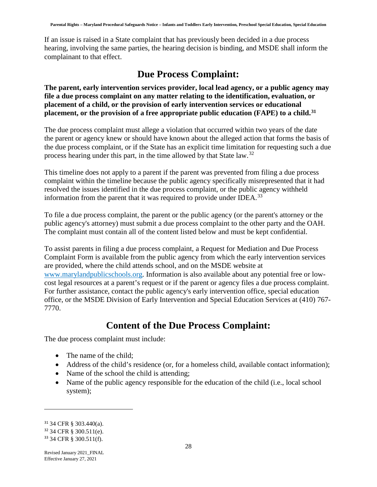If an issue is raised in a State complaint that has previously been decided in a due process hearing, involving the same parties, the hearing decision is binding, and MSDE shall inform the complainant to that effect.

#### **Due Process Complaint:**

<span id="page-31-0"></span>**The parent, early intervention services provider, local lead agency, or a public agency may file a due process complaint on any matter relating to the identification, evaluation, or placement of a child, or the provision of early intervention services or educational placement, or the provision of a free appropriate public education (FAPE) to a child.[31](#page-31-2)**

The due process complaint must allege a violation that occurred within two years of the date the parent or agency knew or should have known about the alleged action that forms the basis of the due process complaint, or if the State has an explicit time limitation for requesting such a due process hearing under this part, in the time allowed by that State law.[32](#page-31-3)

This timeline does not apply to a parent if the parent was prevented from filing a due process complaint within the timeline because the public agency specifically misrepresented that it had resolved the issues identified in the due process complaint, or the public agency withheld information from the parent that it was required to provide under IDEA.<sup>[33](#page-31-4)</sup>

To file a due process complaint, the parent or the public agency (or the parent's attorney or the public agency's attorney) must submit a due process complaint to the other party and the OAH. The complaint must contain all of the content listed below and must be kept confidential.

To assist parents in filing a due process complaint, a Request for Mediation and Due Process Complaint Form is available from the public agency from which the early intervention services are provided, where the child attends school, and on the MSDE website at [www.marylandpublicschools.org.](http://marylandpublicschools.org/MSDE/divisions/earlyinterv/complaint_investigation/docs/UniformDPMediation1091615.pdf) Information is also available about any potential free or lowcost legal resources at a parent's request or if the parent or agency files a due process complaint. For further assistance, contact the public agency's early intervention office, special education office, or the MSDE Division of Early Intervention and Special Education Services at (410) 767- 7770.

#### **Content of the Due Process Complaint:**

<span id="page-31-1"></span>The due process complaint must include:

- The name of the child:
- Address of the child's residence (or, for a homeless child, available contact information);
- Name of the school the child is attending;
- Name of the public agency responsible for the education of the child (i.e., local school system);

<span id="page-31-2"></span><sup>31</sup> 34 CFR § 303.440(a).

<span id="page-31-3"></span><sup>32</sup> 34 CFR § 300.511(e).

<span id="page-31-4"></span><sup>33</sup> 34 CFR § 300.511(f).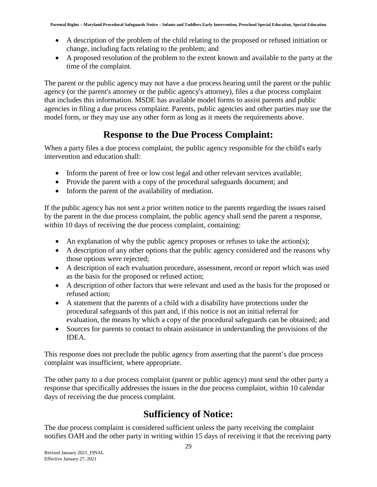- A description of the problem of the child relating to the proposed or refused initiation or change, including facts relating to the problem; and
- A proposed resolution of the problem to the extent known and available to the party at the time of the complaint.

The parent or the public agency may not have a due process hearing until the parent or the public agency (or the parent's attorney or the public agency's attorney), files a due process complaint that includes this information. MSDE has available model forms to assist parents and public agencies in filing a due process complaint. Parents, public agencies and other parties may use the model form, or they may use any other form as long as it meets the requirements above.

# **Response to the Due Process Complaint:**

<span id="page-32-0"></span>When a party files a due process complaint, the public agency responsible for the child's early intervention and education shall:

- Inform the parent of free or low cost legal and other relevant services available;
- Provide the parent with a copy of the procedural safeguards document; and
- Inform the parent of the availability of mediation.

If the public agency has not sent a prior written notice to the parents regarding the issues raised by the parent in the due process complaint, the public agency shall send the parent a response, within 10 days of receiving the due process complaint, containing:

- An explanation of why the public agency proposes or refuses to take the action(s);
- A description of any other options that the public agency considered and the reasons why those options were rejected;
- A description of each evaluation procedure, assessment, record or report which was used as the basis for the proposed or refused action;
- A description of other factors that were relevant and used as the basis for the proposed or refused action;
- A statement that the parents of a child with a disability have protections under the procedural safeguards of this part and, if this notice is not an initial referral for evaluation, the means by which a copy of the procedural safeguards can be obtained; and
- Sources for parents to contact to obtain assistance in understanding the provisions of the IDEA.

This response does not preclude the public agency from asserting that the parent's due process complaint was insufficient, where appropriate.

The other party to a due process complaint (parent or public agency) must send the other party a response that specifically addresses the issues in the due process complaint, within 10 calendar days of receiving the due process complaint.

# **Sufficiency of Notice:**

<span id="page-32-1"></span>The due process complaint is considered sufficient unless the party receiving the complaint notifies OAH and the other party in writing within 15 days of receiving it that the receiving party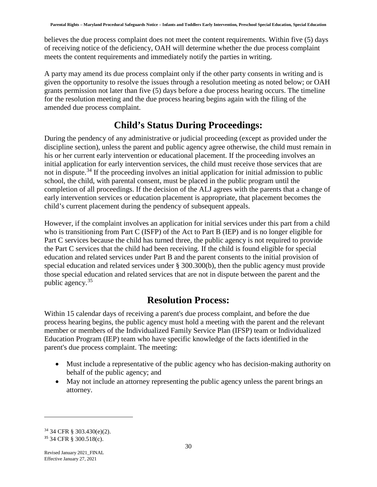believes the due process complaint does not meet the content requirements. Within five (5) days of receiving notice of the deficiency, OAH will determine whether the due process complaint meets the content requirements and immediately notify the parties in writing.

A party may amend its due process complaint only if the other party consents in writing and is given the opportunity to resolve the issues through a resolution meeting as noted below; or OAH grants permission not later than five (5) days before a due process hearing occurs. The timeline for the resolution meeting and the due process hearing begins again with the filing of the amended due process complaint.

### **Child's Status During Proceedings:**

<span id="page-33-0"></span>During the pendency of any administrative or judicial proceeding (except as provided under the discipline section), unless the parent and public agency agree otherwise, the child must remain in his or her current early intervention or educational placement. If the proceeding involves an initial application for early intervention services, the child must receive those services that are not in dispute.<sup>[34](#page-33-2)</sup> If the proceeding involves an initial application for initial admission to public school, the child, with parental consent, must be placed in the public program until the completion of all proceedings. If the decision of the ALJ agrees with the parents that a change of early intervention services or education placement is appropriate, that placement becomes the child's current placement during the pendency of subsequent appeals.

However, if the complaint involves an application for initial services under this part from a child who is transitioning from Part C (ISFP) of the Act to Part B (IEP) and is no longer eligible for Part C services because the child has turned three, the public agency is not required to provide the Part C services that the child had been receiving. If the child is found eligible for special education and related services under Part B and the parent consents to the initial provision of special education and related services under § 300.300(b), then the public agency must provide those special education and related services that are not in dispute between the parent and the public agency.[35](#page-33-3)

#### **Resolution Process:**

<span id="page-33-1"></span>Within 15 calendar days of receiving a parent's due process complaint, and before the due process hearing begins, the public agency must hold a meeting with the parent and the relevant member or members of the Individualized Family Service Plan (IFSP) team or Individualized Education Program (IEP) team who have specific knowledge of the facts identified in the parent's due process complaint. The meeting:

- Must include a representative of the public agency who has decision-making authority on behalf of the public agency; and
- May not include an attorney representing the public agency unless the parent brings an attorney.

<span id="page-33-3"></span><span id="page-33-2"></span><sup>34</sup> 34 CFR § 303.430(e)(2). <sup>35</sup> 34 CFR § 300.518(c).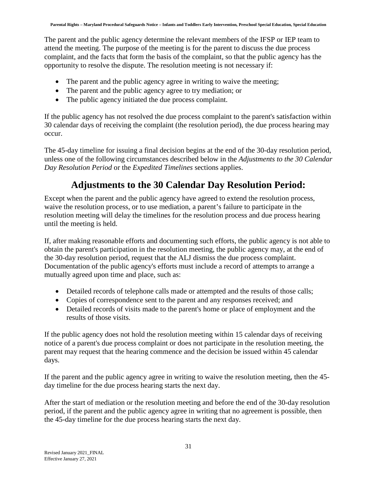The parent and the public agency determine the relevant members of the IFSP or IEP team to attend the meeting. The purpose of the meeting is for the parent to discuss the due process complaint, and the facts that form the basis of the complaint, so that the public agency has the opportunity to resolve the dispute. The resolution meeting is not necessary if:

- The parent and the public agency agree in writing to waive the meeting;
- The parent and the public agency agree to try mediation; or
- The public agency initiated the due process complaint.

If the public agency has not resolved the due process complaint to the parent's satisfaction within 30 calendar days of receiving the complaint (the resolution period), the due process hearing may occur.

The 45-day timeline for issuing a final decision begins at the end of the 30-day resolution period, unless one of the following circumstances described below in the *Adjustments to the 30 Calendar Day Resolution Period* or the *Expedited Timelines* sections applies.

# **Adjustments to the 30 Calendar Day Resolution Period:**

<span id="page-34-0"></span>Except when the parent and the public agency have agreed to extend the resolution process, waive the resolution process, or to use mediation, a parent's failure to participate in the resolution meeting will delay the timelines for the resolution process and due process hearing until the meeting is held.

If, after making reasonable efforts and documenting such efforts, the public agency is not able to obtain the parent's participation in the resolution meeting, the public agency may, at the end of the 30-day resolution period, request that the ALJ dismiss the due process complaint. Documentation of the public agency's efforts must include a record of attempts to arrange a mutually agreed upon time and place, such as:

- Detailed records of telephone calls made or attempted and the results of those calls;
- Copies of correspondence sent to the parent and any responses received; and
- Detailed records of visits made to the parent's home or place of employment and the results of those visits.

If the public agency does not hold the resolution meeting within 15 calendar days of receiving notice of a parent's due process complaint or does not participate in the resolution meeting, the parent may request that the hearing commence and the decision be issued within 45 calendar days.

If the parent and the public agency agree in writing to waive the resolution meeting, then the 45 day timeline for the due process hearing starts the next day.

After the start of mediation or the resolution meeting and before the end of the 30-day resolution period, if the parent and the public agency agree in writing that no agreement is possible, then the 45-day timeline for the due process hearing starts the next day.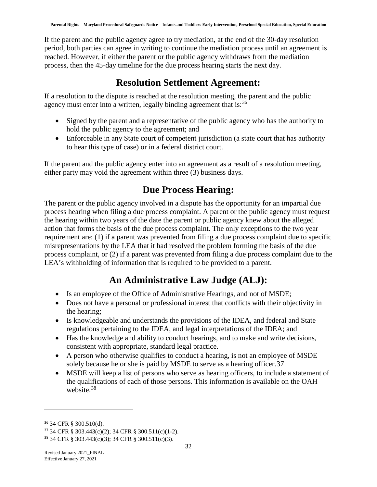If the parent and the public agency agree to try mediation, at the end of the 30-day resolution period, both parties can agree in writing to continue the mediation process until an agreement is reached. However, if either the parent or the public agency withdraws from the mediation process, then the 45-day timeline for the due process hearing starts the next day.

#### **Resolution Settlement Agreement:**

<span id="page-35-0"></span>If a resolution to the dispute is reached at the resolution meeting, the parent and the public agency must enter into a written, legally binding agreement that is:<sup>[36](#page-35-3)</sup>

- Signed by the parent and a representative of the public agency who has the authority to hold the public agency to the agreement; and
- Enforceable in any State court of competent jurisdiction (a state court that has authority to hear this type of case) or in a federal district court.

If the parent and the public agency enter into an agreement as a result of a resolution meeting, either party may void the agreement within three (3) business days.

# **Due Process Hearing:**

<span id="page-35-1"></span>The parent or the public agency involved in a dispute has the opportunity for an impartial due process hearing when filing a due process complaint. A parent or the public agency must request the hearing within two years of the date the parent or public agency knew about the alleged action that forms the basis of the due process complaint. The only exceptions to the two year requirement are: (1) if a parent was prevented from filing a due process complaint due to specific misrepresentations by the LEA that it had resolved the problem forming the basis of the due process complaint, or (2) if a parent was prevented from filing a due process complaint due to the LEA's withholding of information that is required to be provided to a parent.

# **An Administrative Law Judge (ALJ):**

- <span id="page-35-2"></span>• Is an employee of the Office of Administrative Hearings, and not of MSDE;
- Does not have a personal or professional interest that conflicts with their objectivity in the hearing;
- Is knowledgeable and understands the provisions of the IDEA, and federal and State regulations pertaining to the IDEA, and legal interpretations of the IDEA; and
- Has the knowledge and ability to conduct hearings, and to make and write decisions, consistent with appropriate, standard legal practice.
- A person who otherwise qualifies to conduct a hearing, is not an employee of MSDE solely because he or she is paid by MSDE to serve as a hearing officer.[37](#page-35-4)
- MSDE will keep a list of persons who serve as hearing officers, to include a statement of the qualifications of each of those persons. This information is available on the OAH website.<sup>[38](#page-35-5)</sup>

<span id="page-35-3"></span><sup>36</sup> 34 CFR § 300.510(d).

<span id="page-35-4"></span><sup>37</sup> 34 CFR § 303.443(c)(2); 34 CFR § 300.511(c)(1-2).

<span id="page-35-5"></span><sup>38</sup> 34 CFR § 303.443(c)(3); 34 CFR § 300.511(c)(3).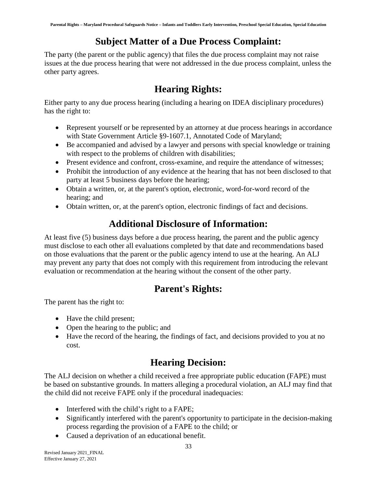# **Subject Matter of a Due Process Complaint:**

<span id="page-36-0"></span>The party (the parent or the public agency) that files the due process complaint may not raise issues at the due process hearing that were not addressed in the due process complaint, unless the other party agrees.

# **Hearing Rights:**

<span id="page-36-1"></span>Either party to any due process hearing (including a hearing on IDEA disciplinary procedures) has the right to:

- Represent yourself or be represented by an attorney at due process hearings in accordance with State Government Article §9-1607.1, Annotated Code of Maryland;
- Be accompanied and advised by a lawyer and persons with special knowledge or training with respect to the problems of children with disabilities;
- Present evidence and confront, cross-examine, and require the attendance of witnesses;
- Prohibit the introduction of any evidence at the hearing that has not been disclosed to that party at least 5 business days before the hearing;
- Obtain a written, or, at the parent's option, electronic, word-for-word record of the hearing; and
- <span id="page-36-2"></span>• Obtain written, or, at the parent's option, electronic findings of fact and decisions.

# **Additional Disclosure of Information:**

At least five (5) business days before a due process hearing, the parent and the public agency must disclose to each other all evaluations completed by that date and recommendations based on those evaluations that the parent or the public agency intend to use at the hearing. An ALJ may prevent any party that does not comply with this requirement from introducing the relevant evaluation or recommendation at the hearing without the consent of the other party.

# **Parent's Rights:**

<span id="page-36-3"></span>The parent has the right to:

- Have the child present;
- Open the hearing to the public; and
- <span id="page-36-4"></span>• Have the record of the hearing, the findings of fact, and decisions provided to you at no cost.

# **Hearing Decision:**

The ALJ decision on whether a child received a free appropriate public education (FAPE) must be based on substantive grounds. In matters alleging a procedural violation, an ALJ may find that the child did not receive FAPE only if the procedural inadequacies:

- Interfered with the child's right to a FAPE;
- Significantly interfered with the parent's opportunity to participate in the decision-making process regarding the provision of a FAPE to the child; or
- Caused a deprivation of an educational benefit.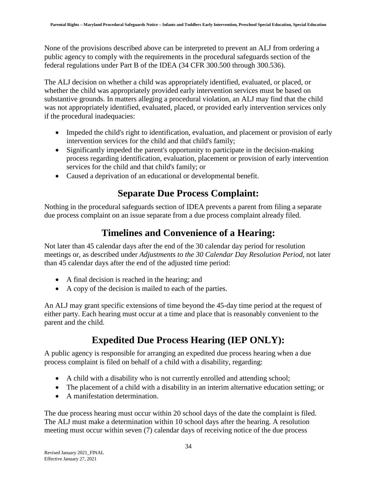None of the provisions described above can be interpreted to prevent an ALJ from ordering a public agency to comply with the requirements in the procedural safeguards section of the federal regulations under Part B of the IDEA (34 CFR 300.500 through 300.536).

The ALJ decision on whether a child was appropriately identified, evaluated, or placed, or whether the child was appropriately provided early intervention services must be based on substantive grounds. In matters alleging a procedural violation, an ALJ may find that the child was not appropriately identified, evaluated, placed, or provided early intervention services only if the procedural inadequacies:

- Impeded the child's right to identification, evaluation, and placement or provision of early intervention services for the child and that child's family;
- Significantly impeded the parent's opportunity to participate in the decision-making process regarding identification, evaluation, placement or provision of early intervention services for the child and that child's family; or
- <span id="page-37-0"></span>• Caused a deprivation of an educational or developmental benefit.

# **Separate Due Process Complaint:**

Nothing in the procedural safeguards section of IDEA prevents a parent from filing a separate due process complaint on an issue separate from a due process complaint already filed.

# **Timelines and Convenience of a Hearing:**

<span id="page-37-1"></span>Not later than 45 calendar days after the end of the 30 calendar day period for resolution meetings or, as described under *Adjustments to the 30 Calendar Day Resolution Period*, not later than 45 calendar days after the end of the adjusted time period:

- A final decision is reached in the hearing; and
- A copy of the decision is mailed to each of the parties.

An ALJ may grant specific extensions of time beyond the 45-day time period at the request of either party. Each hearing must occur at a time and place that is reasonably convenient to the parent and the child.

# **Expedited Due Process Hearing (IEP ONLY):**

<span id="page-37-2"></span>A public agency is responsible for arranging an expedited due process hearing when a due process complaint is filed on behalf of a child with a disability, regarding:

- A child with a disability who is not currently enrolled and attending school;
- The placement of a child with a disability in an interim alternative education setting; or
- A manifestation determination.

The due process hearing must occur within 20 school days of the date the complaint is filed. The ALJ must make a determination within 10 school days after the hearing. A resolution meeting must occur within seven (7) calendar days of receiving notice of the due process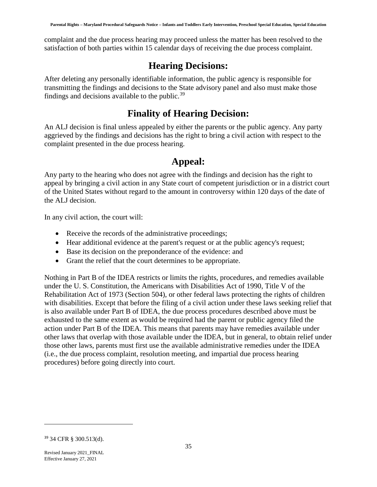complaint and the due process hearing may proceed unless the matter has been resolved to the satisfaction of both parties within 15 calendar days of receiving the due process complaint.

#### **Hearing Decisions:**

<span id="page-38-0"></span>After deleting any personally identifiable information, the public agency is responsible for transmitting the findings and decisions to the State advisory panel and also must make those findings and decisions available to the public. $39$ 

#### **Finality of Hearing Decision:**

<span id="page-38-1"></span>An ALJ decision is final unless appealed by either the parents or the public agency. Any party aggrieved by the findings and decisions has the right to bring a civil action with respect to the complaint presented in the due process hearing.

#### **Appeal:**

<span id="page-38-2"></span>Any party to the hearing who does not agree with the findings and decision has the right to appeal by bringing a civil action in any State court of competent jurisdiction or in a district court of the United States without regard to the amount in controversy within 120 days of the date of the ALJ decision.

In any civil action, the court will:

- Receive the records of the administrative proceedings;
- Hear additional evidence at the parent's request or at the public agency's request;
- Base its decision on the preponderance of the evidence: and
- Grant the relief that the court determines to be appropriate.

Nothing in Part B of the IDEA restricts or limits the rights, procedures, and remedies available under the U. S. Constitution, the Americans with Disabilities Act of 1990, Title V of the Rehabilitation Act of 1973 (Section 504), or other federal laws protecting the rights of children with disabilities. Except that before the filing of a civil action under these laws seeking relief that is also available under Part B of IDEA, the due process procedures described above must be exhausted to the same extent as would be required had the parent or public agency filed the action under Part B of the IDEA. This means that parents may have remedies available under other laws that overlap with those available under the IDEA, but in general, to obtain relief under those other laws, parents must first use the available administrative remedies under the IDEA (i.e., the due process complaint, resolution meeting, and impartial due process hearing procedures) before going directly into court.

<span id="page-38-4"></span><span id="page-38-3"></span><sup>39</sup> 34 CFR § 300.513(d).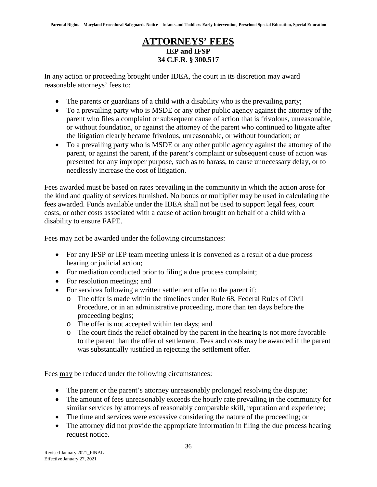#### **ATTORNEYS' FEES IEP and IFSP 34 C.F.R. § 300.517**

In any action or proceeding brought under IDEA, the court in its discretion may award reasonable attorneys' fees to:

- The parents or guardians of a child with a disability who is the prevailing party;
- To a prevailing party who is MSDE or any other public agency against the attorney of the parent who files a complaint or subsequent cause of action that is frivolous, unreasonable, or without foundation, or against the attorney of the parent who continued to litigate after the litigation clearly became frivolous, unreasonable, or without foundation; or
- To a prevailing party who is MSDE or any other public agency against the attorney of the parent, or against the parent, if the parent's complaint or subsequent cause of action was presented for any improper purpose, such as to harass, to cause unnecessary delay, or to needlessly increase the cost of litigation.

Fees awarded must be based on rates prevailing in the community in which the action arose for the kind and quality of services furnished. No bonus or multiplier may be used in calculating the fees awarded. Funds available under the IDEA shall not be used to support legal fees, court costs, or other costs associated with a cause of action brought on behalf of a child with a disability to ensure FAPE.

Fees may not be awarded under the following circumstances:

- For any IFSP or IEP team meeting unless it is convened as a result of a due process hearing or judicial action;
- For mediation conducted prior to filing a due process complaint;
- For resolution meetings; and
- For services following a written settlement offer to the parent if:
	- o The offer is made within the timelines under Rule 68, Federal Rules of Civil Procedure, or in an administrative proceeding, more than ten days before the proceeding begins;
	- o The offer is not accepted within ten days; and
	- o The court finds the relief obtained by the parent in the hearing is not more favorable to the parent than the offer of settlement. Fees and costs may be awarded if the parent was substantially justified in rejecting the settlement offer.

Fees may be reduced under the following circumstances:

- The parent or the parent's attorney unreasonably prolonged resolving the dispute;
- The amount of fees unreasonably exceeds the hourly rate prevailing in the community for similar services by attorneys of reasonably comparable skill, reputation and experience;
- The time and services were excessive considering the nature of the proceeding; or
- The attorney did not provide the appropriate information in filing the due process hearing request notice.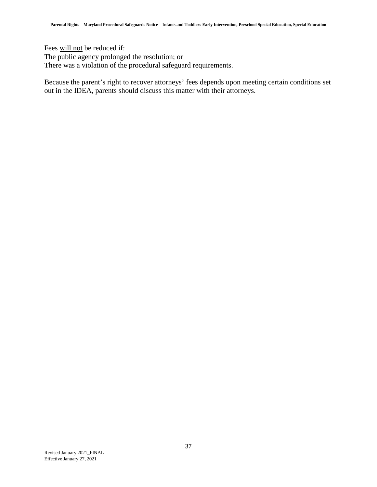Fees will not be reduced if: The public agency prolonged the resolution; or There was a violation of the procedural safeguard requirements.

Because the parent's right to recover attorneys' fees depends upon meeting certain conditions set out in the IDEA, parents should discuss this matter with their attorneys.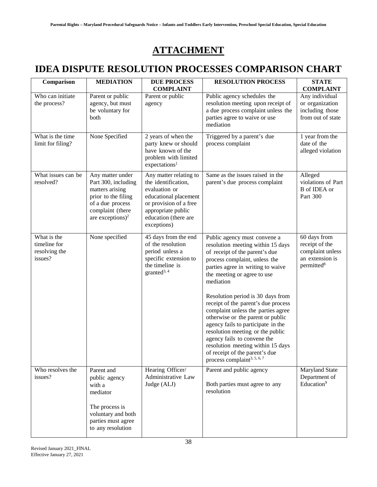# **ATTACHMENT**

# <span id="page-41-1"></span><span id="page-41-0"></span>**IDEA DISPUTE RESOLUTION PROCESSES COMPARISON CHART**

| Comparison                                              | <b>MEDIATION</b>                                                                                                                                          | <b>DUE PROCESS</b><br><b>COMPLAINT</b>                                                                                                                                         | <b>RESOLUTION PROCESS</b>                                                                                                                                                                                                                                                                                                                                                                                                                                                                                                                                                                               | <b>STATE</b><br><b>COMPLAINT</b>                                                                |
|---------------------------------------------------------|-----------------------------------------------------------------------------------------------------------------------------------------------------------|--------------------------------------------------------------------------------------------------------------------------------------------------------------------------------|---------------------------------------------------------------------------------------------------------------------------------------------------------------------------------------------------------------------------------------------------------------------------------------------------------------------------------------------------------------------------------------------------------------------------------------------------------------------------------------------------------------------------------------------------------------------------------------------------------|-------------------------------------------------------------------------------------------------|
| Who can initiate<br>the process?                        | Parent or public<br>agency, but must<br>be voluntary for<br>both                                                                                          | Parent or public<br>agency                                                                                                                                                     | Public agency schedules the<br>resolution meeting upon receipt of<br>a due process complaint unless the<br>parties agree to waive or use<br>mediation                                                                                                                                                                                                                                                                                                                                                                                                                                                   | Any individual<br>or organization<br>including those<br>from out of state                       |
| What is the time<br>limit for filing?                   | None Specified                                                                                                                                            | 2 years of when the<br>party knew or should<br>have known of the<br>problem with limited<br>expectations <sup>1</sup>                                                          | Triggered by a parent's due<br>process complaint                                                                                                                                                                                                                                                                                                                                                                                                                                                                                                                                                        | 1 year from the<br>date of the<br>alleged violation                                             |
| What issues can be<br>resolved?                         | Any matter under<br>Part 300, including<br>matters arising<br>prior to the filing<br>of a due process<br>complaint (there<br>are exceptions) <sup>2</sup> | Any matter relating to<br>the identification,<br>evaluation or<br>educational placement<br>or provision of a free<br>appropriate public<br>education (there are<br>exceptions) | Same as the issues raised in the<br>parent's due process complaint                                                                                                                                                                                                                                                                                                                                                                                                                                                                                                                                      | Alleged<br>violations of Part<br><b>B</b> of IDEA or<br>Part 300                                |
| What is the<br>timeline for<br>resolving the<br>issues? | None specified                                                                                                                                            | 45 days from the end<br>of the resolution<br>period unless a<br>specific extension to<br>the timeline is<br>granted <sup>3, 4</sup>                                            | Public agency must convene a<br>resolution meeting within 15 days<br>of receipt of the parent's due<br>process complaint, unless the<br>parties agree in writing to waive<br>the meeting or agree to use<br>mediation<br>Resolution period is 30 days from<br>receipt of the parent's due process<br>complaint unless the parties agree<br>otherwise or the parent or public<br>agency fails to participate in the<br>resolution meeting or the public<br>agency fails to convene the<br>resolution meeting within 15 days<br>of receipt of the parent's due<br>process complaint <sup>3, 5, 6, 7</sup> | 60 days from<br>receipt of the<br>complaint unless<br>an extension is<br>permitted <sup>8</sup> |
| Who resolves the<br>issues?                             | Parent and<br>public agency<br>with a<br>mediator<br>The process is<br>voluntary and both<br>parties must agree<br>to any resolution                      | Hearing Officer/<br>Administrative Law<br>Judge (ALJ)                                                                                                                          | Parent and public agency<br>Both parties must agree to any<br>resolution                                                                                                                                                                                                                                                                                                                                                                                                                                                                                                                                | Maryland State<br>Department of<br>Education <sup>9</sup>                                       |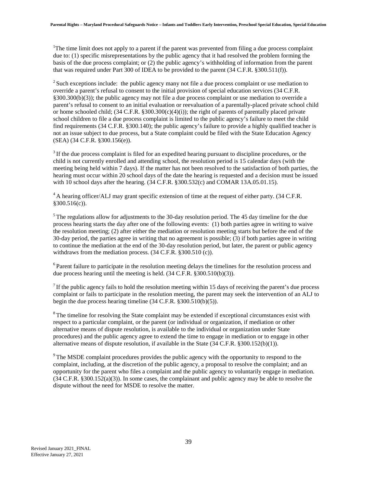<sup>1</sup>The time limit does not apply to a parent if the parent was prevented from filing a due process complaint due to: (1) specific misrepresentations by the public agency that it had resolved the problem forming the basis of the due process complaint; or (2) the public agency's withholding of information from the parent that was required under Part 300 of IDEA to be provided to the parent (34 C.F.R. §300.511(f)).

 $2\$ Such exceptions include: the public agency many not file a due process complaint or use mediation to override a parent's refusal to consent to the initial provision of special education services (34 C.F.R. §300.300(b)(3)); the public agency may not file a due process complaint or use mediation to override a parent's refusal to consent to an initial evaluation or reevaluation of a parentally-placed private school child or home schooled child;  $(34 \text{ C.F.R. } \S 300.300(c)(4)(i))$ ; the right of parents of parentally placed private school children to file a due process complaint is limited to the public agency's failure to meet the child find requirements (34 C.F.R. §300.140); the public agency's failure to provide a highly qualified teacher is not an issue subject to due process, but a State complaint could be filed with the State Education Agency (SEA) (34 C.F.R. §300.156(e)).

<sup>3</sup> If the due process complaint is filed for an expedited hearing pursuant to discipline procedures, or the child is not currently enrolled and attending school, the resolution period is 15 calendar days (with the meeting being held within 7 days). If the matter has not been resolved to the satisfaction of both parties, the hearing must occur within 20 school days of the date the hearing is requested and a decision must be issued with 10 school days after the hearing. (34 C.F.R. §300.532(c) and COMAR 13A.05.01.15).

<sup>4</sup> A hearing officer/ALJ may grant specific extension of time at the request of either party. (34 C.F.R. §300.516(c)).

<sup>5</sup> The regulations allow for adjustments to the 30-day resolution period. The 45 day timeline for the due process hearing starts the day after one of the following events: (1) both parties agree in writing to waive the resolution meeting; (2) after either the mediation or resolution meeting starts but before the end of the 30-day period, the parties agree in writing that no agreement is possible; (3) if both parties agree in writing to continue the mediation at the end of the 30-day resolution period, but later, the parent or public agency withdraws from the mediation process. (34 C.F.R. §300.510 (c)).

<sup>6</sup> Parent failure to participate in the resolution meeting delays the timelines for the resolution process and due process hearing until the meeting is held. (34 C.F.R. §300.510(b)(3)).

 $<sup>7</sup>$  If the public agency fails to hold the resolution meeting within 15 days of receiving the parent's due process</sup> complaint or fails to participate in the resolution meeting, the parent may seek the intervention of an ALJ to begin the due process hearing timeline  $(34 \text{ C.F.R. } §300.510(b)(5))$ .

<sup>8</sup> The timeline for resolving the State complaint may be extended if exceptional circumstances exist with respect to a particular complaint, or the parent (or individual or organization, if mediation or other alternative means of dispute resolution, is available to the individual or organization under State procedures) and the public agency agree to extend the time to engage in mediation or to engage in other alternative means of dispute resolution, if available in the State (34 C.F.R. §300.152(b)(1)).

<sup>9</sup> The MSDE complaint procedures provides the public agency with the opportunity to respond to the complaint, including, at the discretion of the public agency, a proposal to resolve the complaint; and an opportunity for the parent who files a complaint and the public agency to voluntarily engage in mediation. (34 C.F.R. §300.152(a)(3)). In some cases, the complainant and public agency may be able to resolve the dispute without the need for MSDE to resolve the matter.